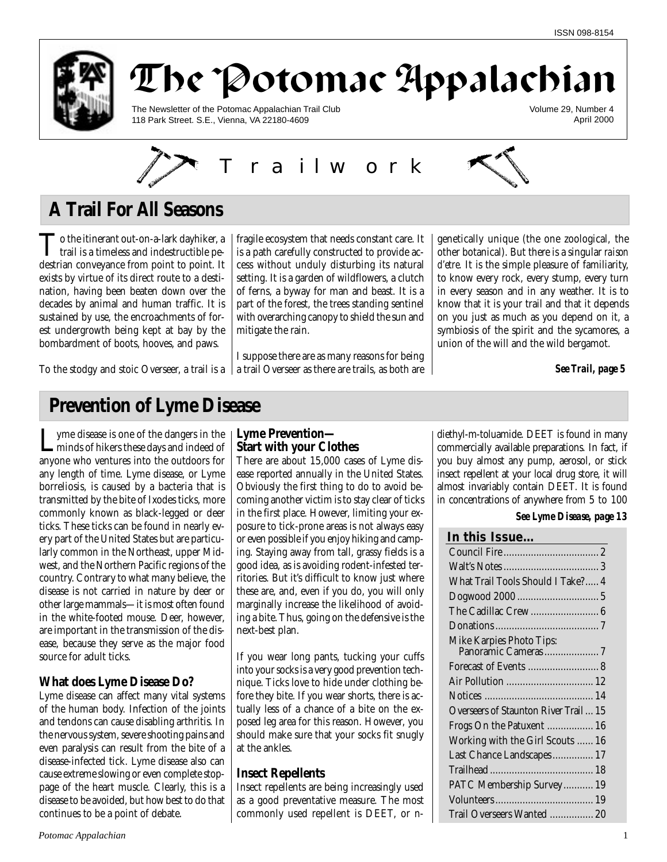



The Newsletter of the Potomac Appalachian Trail Club 118 Park Street. S.E., Vienna, VA 22180-4609

Volume 29, Number 4 April 2000



# **A Trail For All Seasons**

To the itinerant out-on-a-lark dayhiker, a<br>trail is a timeless and indestructible pedestrian conveyance from point to point. It exists by virtue of its direct route to a destination, having been beaten down over the decades by animal and human traffic. It is sustained by use, the encroachments of forest undergrowth being kept at bay by the bombardment of boots, hooves, and paws.

To the stodgy and stoic Overseer, a trail is a

fragile ecosystem that needs constant care. It is a path carefully constructed to provide access without unduly disturbing its natural setting. It is a garden of wildflowers, a clutch of ferns, a byway for man and beast. It is a part of the forest, the trees standing sentinel with overarching canopy to shield the sun and mitigate the rain.

I suppose there are as many reasons for being a trail Overseer as there are trails, as both are

genetically unique (the one zoological, the other botanical). But there is a singular *raison d'etre.* It is the simple pleasure of familiarity, to know every rock, every stump, every turn in every season and in any weather. It is to know that it is your trail and that it depends on you just as much as you depend on it, a symbiosis of the spirit and the sycamores, a union of the will and the wild bergamot.

*See Trail, page 5*

# **Prevention of Lyme Disease**

Lyme disease is one of the dangers in the<br>minds of hikers these days and indeed of anyone who ventures into the outdoors for any length of time. Lyme disease, or Lyme borreliosis, is caused by a bacteria that is transmitted by the bite of Ixodes ticks, more commonly known as black-legged or deer ticks. These ticks can be found in nearly every part of the United States but are particularly common in the Northeast, upper Midwest, and the Northern Pacific regions of the country. Contrary to what many believe, the disease is not carried in nature by deer or other large mammals—it is most often found in the white-footed mouse. Deer, however, are important in the transmission of the disease, because they serve as the major food source for adult ticks.

## **What does Lyme Disease Do?**

Lyme disease can affect many vital systems of the human body. Infection of the joints and tendons can cause disabling arthritis. In the nervous system, severe shooting pains and even paralysis can result from the bite of a disease-infected tick. Lyme disease also can cause extreme slowing or even complete stoppage of the heart muscle. Clearly, this is a disease to be avoided, but how best to do that continues to be a point of debate.

### **Lyme Prevention— Start with your Clothes**

There are about 15,000 cases of Lyme disease reported annually in the United States. Obviously the first thing to do to avoid becoming another victim is to stay clear of ticks in the first place. However, limiting your exposure to tick-prone areas is not always easy or even possible if you enjoy hiking and camping. Staying away from tall, grassy fields is a good idea, as is avoiding rodent-infested territories. But it's difficult to know just where these are, and, even if you do, you will only marginally increase the likelihood of avoiding a bite. Thus, going on the defensive is the next-best plan.

If you wear long pants, tucking your cuffs into your socks is a very good prevention technique. Ticks love to hide under clothing before they bite. If you wear shorts, there is actually less of a chance of a bite on the exposed leg area for this reason. However, you should make sure that your socks fit snugly at the ankles.

## **Insect Repellents**

Insect repellents are being increasingly used as a good preventative measure. The most commonly used repellent is DEET, or n-

diethyl-m-toluamide. DEET is found in many commercially available preparations. In fact, if you buy almost any pump, aerosol, or stick insect repellent at your local drug store, it will almost invariably contain DEET. It is found in concentrations of anywhere from 5 to 100

**In this Issue…**

### *See Lyme Disease, page 13*

| ın tnıs issue…                        |
|---------------------------------------|
|                                       |
|                                       |
| What Trail Tools Should I Take? 4     |
|                                       |
|                                       |
|                                       |
| Mike Karpies Photo Tips:              |
|                                       |
|                                       |
|                                       |
|                                       |
| Overseers of Staunton River Trail  15 |
| Frogs On the Patuxent  16             |
| Working with the Girl Scouts  16      |
| Last Chance Landscapes 17             |
|                                       |
| PATC Membership Survey 19             |
|                                       |
| Trail Overseers Wanted  20            |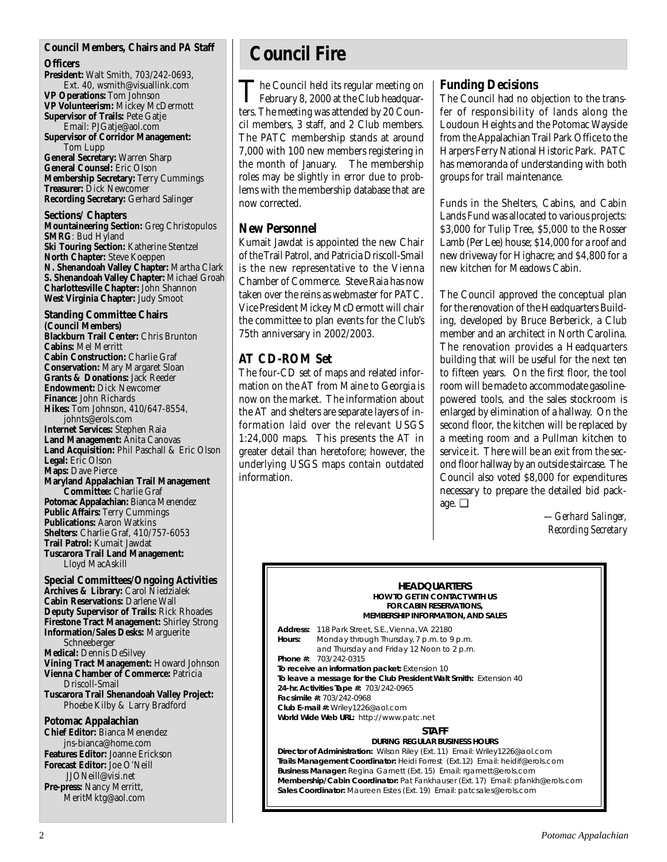### **Council Members, Chairs and** *PA* **Staff**

### **Officers**

**President:** Walt Smith, 703/242-0693, Ext. 40, wsmith@visuallink.com **VP Operations:** Tom Johnson **VP Volunteerism:** Mickey McDermott **Supervisor of Trails:** Pete Gatje Email: PJGatje@aol.com **Supervisor of Corridor Management:** Tom Lupp **General Secretary:** Warren Sharp **General Counsel:** Eric Olson **Membership Secretary:** Terry Cummings **Treasurer:** Dick Newcomer **Recording Secretary:** Gerhard Salinger

**Sections/ Chapters Mountaineering Section:** Greg Christopulos **SMRG**: Bud Hyland **Ski Touring Section:** Katherine Stentzel **North Chapter:** Steve Koeppen **N. Shenandoah Valley Chapter:** Martha Clark **S. Shenandoah Valley Chapter:** Michael Groah **Charlottesville Chapter:** John Shannon **West Virginia Chapter:** Judy Smoot

**Standing Committee Chairs (Council Members) Blackburn Trail Center:** Chris Brunton **Cabins:** Mel Merritt **Cabin Construction:** Charlie Graf **Conservation:** Mary Margaret Sloan **Grants & Donations:** Jack Reeder **Endowment:** Dick Newcomer **Finance:** John Richards **Hikes:** Tom Johnson, 410/647-8554, johnts@erols.com **Internet Services:** Stephen Raia **Land Management:** Anita Canovas **Land Acquisition:** Phil Paschall & Eric Olson **Legal:** Eric Olson **Maps:** Dave Pierce **Maryland Appalachian Trail Management Committee:** Charlie Graf **Potomac Appalachian:** Bianca Menendez **Public Affairs:** Terry Cummings **Publications:** Aaron Watkins **Shelters:** Charlie Graf, 410/757-6053 **Trail Patrol:** Kumait Jawdat **Tuscarora Trail Land Management:** Lloyd MacAskill

**Special Committees/Ongoing Activities Archives & Library:** Carol Niedzialek **Cabin Reservations:** Darlene Wall **Deputy Supervisor of Trails:** Rick Rhoades **Firestone Tract Management:** Shirley Strong **Information/Sales Desks:** Marguerite Schneeberger **Medical:** Dennis DeSilvey **Vining Tract Management:** Howard Johnson **Vienna Chamber of Commerce:** Patricia Driscoll-Smail **Tuscarora Trail Shenandoah Valley Project:** Phoebe Kilby & Larry Bradford **Potomac Appalachian Chief Editor:** Bianca Menendez jns-bianca@home.com **Features Editor:** Joanne Erickson

**Forecast Editor:** Joe O'Neill JJONeill@visi.net **Pre-press:** Nancy Merritt, MeritMktg@aol.com

# **Council Fire**

The Council held its regular meeting on February 8, 2000 at the Club headquarters. The meeting was attended by 20 Council members, 3 staff, and 2 Club members. The PATC membership stands at around 7,000 with 100 new members registering in the month of January. The membership roles may be slightly in error due to problems with the membership database that are now corrected.

## **New Personnel**

Kumait Jawdat is appointed the new Chair of the Trail Patrol, and Patricia Driscoll-Smail is the new representative to the Vienna Chamber of Commerce. Steve Raia has now taken over the reins as webmaster for PATC. Vice President Mickey McDermott will chair the committee to plan events for the Club's 75th anniversary in 2002/2003.

# **AT CD-ROM Set**

The four-CD set of maps and related information on the AT from Maine to Georgia is now on the market. The information about the AT and shelters are separate layers of information laid over the relevant USGS 1:24,000 maps. This presents the AT in greater detail than heretofore; however, the underlying USGS maps contain outdated information.

## **Funding Decisions**

The Council had no objection to the transfer of responsibility of lands along the Loudoun Heights and the Potomac Wayside from the Appalachian Trail Park Office to the Harpers Ferry National Historic Park. PATC has memoranda of understanding with both groups for trail maintenance.

Funds in the Shelters, Cabins, and Cabin Lands Fund was allocated to various projects: \$3,000 for Tulip Tree, \$5,000 to the Rosser Lamb (Per Lee) house; \$14,000 for a roof and new driveway for Highacre; and \$4,800 for a new kitchen for Meadows Cabin.

The Council approved the conceptual plan for the renovation of the Headquarters Building, developed by Bruce Berberick, a Club member and an architect in North Carolina. The renovation provides a Headquarters building that will be useful for the next ten to fifteen years. On the first floor, the tool room will be made to accommodate gasolinepowered tools, and the sales stockroom is enlarged by elimination of a hallway. On the second floor, the kitchen will be replaced by a meeting room and a Pullman kitchen to service it. There will be an exit from the second floor hallway by an outside staircase. The Council also voted \$8,000 for expenditures necessary to prepare the detailed bid package. ❑

> *—Gerhard Salinger, Recording Secretary*

#### **HEADQUARTERS HOW TO GET IN CONTACT WITH US FOR CABIN RESERVATIONS, MEMBERSHIP INFORMATION, AND SALES**

**Address:** 118 Park Street, S.E., Vienna, VA 22180 **Hours:** Monday through Thursday, 7 p.m. to 9 p.m. and Thursday and Friday 12 Noon to 2 p.m. **Phone #:** 703/242-0315 **To receive an information packet:** Extension 10 **To leave a message for the Club President Walt Smith:** Extension 40 **24-hr. Activities Tape #:** 703/242-0965 **Facsimile #:** 703/242-0968 **Club E-mail #:** Wriley1226@aol.com **World Wide Web URL:** http://www.patc.net **STAFF**

### **DURING REGULAR BUSINESS HOURS**

**Director of Administration:** Wilson Riley (Ext. 11) Email: Wriley1226@aol.com **Trails Management Coordinator:** Heidi Forrest (Ext.12) Email: heidif@erols.com **Business Manager:** Regina Garnett (Ext. 15) Email: rgarnett@erols.com **Membership/Cabin Coordinator:** Pat Fankhauser (Ext. 17) Email: pfankh@erols.com **Sales Coordinator:** Maureen Estes (Ext. 19) Email: patcsales@erols.com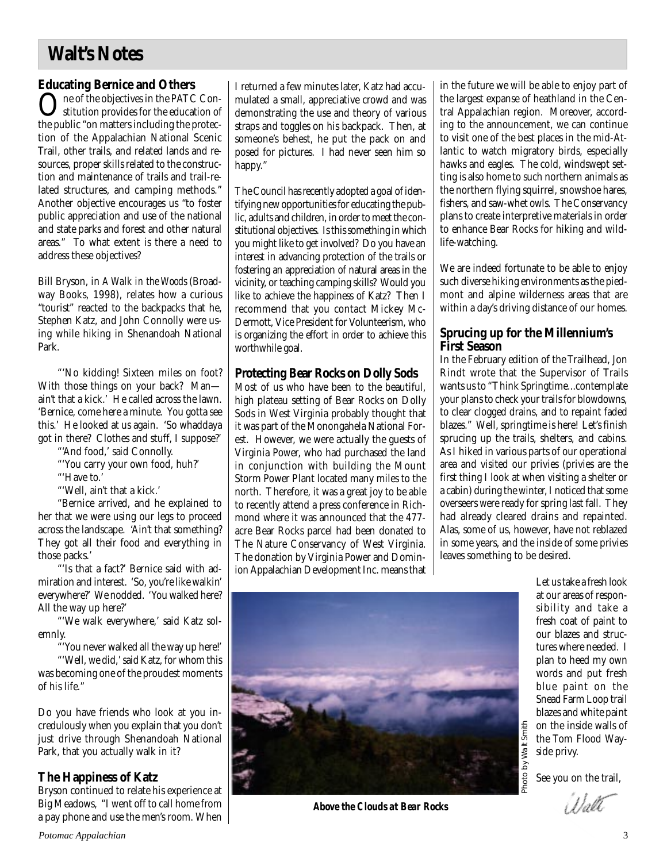# **Walt's Notes**

## **Educating Bernice and Others**

One of the objectives in the PATC Constitution provides for the education of the public "on matters including the protection of the Appalachian National Scenic Trail, other trails, and related lands and resources, proper skills related to the construction and maintenance of trails and trail-related structures, and camping methods." Another objective encourages us "to foster public appreciation and use of the national and state parks and forest and other natural areas." To what extent is there a need to address these objectives?

Bill Bryson, in *A Walk in the Woods* (Broadway Books, 1998), relates how a curious "tourist" reacted to the backpacks that he, Stephen Katz, and John Connolly were using while hiking in Shenandoah National Park.

"'No kidding! Sixteen miles on foot? With those things on your back? Man ain't that a kick.' He called across the lawn. 'Bernice, come here a minute. You gotta see this.' He looked at us again. 'So whaddaya got in there? Clothes and stuff, I suppose?'

"'And food,' said Connolly.

"'You carry your own food, huh?'

"'Have to.'

"'Well, ain't that a kick.'

"Bernice arrived, and he explained to her that we were using our legs to proceed across the landscape. 'Ain't that something? They got all their food and everything in those packs.'

"'Is that a fact?' Bernice said with admiration and interest. 'So, you're like walkin' everywhere?' We nodded. 'You walked here? All the way up here?'

"'We walk everywhere,' said Katz solemnly.

"'You never walked all the way up here!'

"'Well, we did,' said Katz, for whom this was becoming one of the proudest moments of his life."

Do you have friends who look at you incredulously when you explain that you don't just drive through Shenandoah National Park, that you actually walk in it?

## **The Happiness of Katz**

Bryson continued to relate his experience at Big Meadows, "I went off to call home from a pay phone and use the men's room. When I returned a few minutes later, Katz had accumulated a small, appreciative crowd and was demonstrating the use and theory of various straps and toggles on his backpack. Then, at someone's behest, he put the pack on and posed for pictures. I had never seen him so happy."

The Council has recently adopted a goal of identifying new opportunities for educating the public, adults and children, in order to meet the constitutional objectives. Is this something in which you might like to get involved? Do you have an interest in advancing protection of the trails or fostering an appreciation of natural areas in the vicinity, or teaching camping skills? Would you like to achieve the happiness of Katz? Then I recommend that you contact Mickey Mc-Dermott, Vice President for Volunteerism, who is organizing the effort in order to achieve this worthwhile goal.

## **Protecting Bear Rocks on Dolly Sods**

Most of us who have been to the beautiful, high plateau setting of Bear Rocks on Dolly Sods in West Virginia probably thought that it was part of the Monongahela National Forest. However, we were actually the guests of Virginia Power, who had purchased the land in conjunction with building the Mount Storm Power Plant located many miles to the north. Therefore, it was a great joy to be able to recently attend a press conference in Richmond where it was announced that the 477 acre Bear Rocks parcel had been donated to The Nature Conservancy of West Virginia. The donation by Virginia Power and Dominion Appalachian Development Inc. means that in the future we will be able to enjoy part of the largest expanse of heathland in the Central Appalachian region. Moreover, according to the announcement, we can continue to visit one of the best places in the mid-Atlantic to watch migratory birds, especially hawks and eagles. The cold, windswept setting is also home to such northern animals as the northern flying squirrel, snowshoe hares, fishers, and saw-whet owls. The Conservancy plans to create interpretive materials in order to enhance Bear Rocks for hiking and wildlife-watching.

We are indeed fortunate to be able to enjoy such diverse hiking environments as the piedmont and alpine wilderness areas that are within a day's driving distance of our homes.

## **Sprucing up for the Millennium's First Season**

In the February edition of the Trailhead, Jon Rindt wrote that the Supervisor of Trails wants us to "Think Springtime...contemplate your plans to check your trails for blowdowns, to clear clogged drains, and to repaint faded blazes." Well, springtime is here! Let's finish sprucing up the trails, shelters, and cabins. As I hiked in various parts of our operational area and visited our privies (privies are the first thing I look at when visiting a shelter or a cabin) during the winter, I noticed that some overseers were ready for spring last fall. They had already cleared drains and repainted. Alas, some of us, however, have not reblazed in some years, and the inside of some privies leaves something to be desired.



*Above the Clouds at Bear Rocks*

Let us take a fresh look at our areas of responsibility and take a fresh coat of paint to our blazes and structures where needed. I plan to heed my own words and put fresh blue paint on the Snead Farm Loop trail blazes and white paint on the inside walls of the Tom Flood Wayside privy.

See you on the trail,

 $\langle 1 \rangle_2$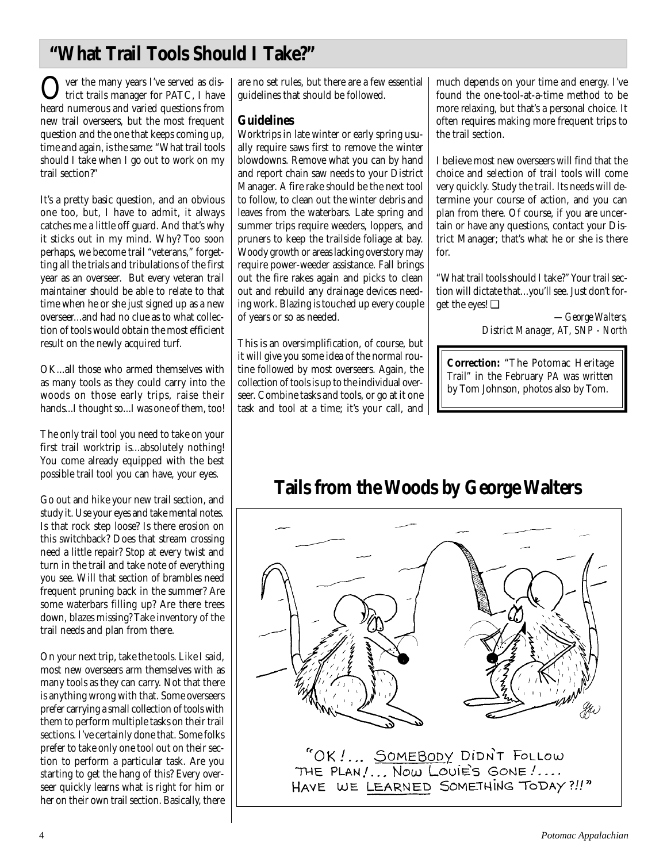# **"What Trail Tools Should I Take?"**

Over the many years I've served as district trails manager for PATC, I have heard numerous and varied questions from new trail overseers, but the most frequent question and the one that keeps coming up, time and again, is the same: "What trail tools should I take when I go out to work on my trail section?"

It's a pretty basic question, and an obvious one too, but, I have to admit, it always catches me a little off guard. And that's why it sticks out in my mind. Why? Too soon perhaps, we become trail "veterans," forgetting all the trials and tribulations of the first year as an overseer. But every veteran trail maintainer should be able to relate to that time when he or she just signed up as a new overseer...and had no clue as to what collection of tools would obtain the most efficient result on the newly acquired turf.

OK...all those who armed themselves with as many tools as they could carry into the woods on those early trips, raise their hands...I thought so...I was one of them, too!

The only trail tool you need to take on your first trail worktrip is...absolutely nothing! You come already equipped with the best possible trail tool you can have, your eyes.

Go out and hike your new trail section, and study it. Use your eyes and take mental notes. Is that rock step loose? Is there erosion on this switchback? Does that stream crossing need a little repair? Stop at every twist and turn in the trail and take note of everything you see. Will that section of brambles need frequent pruning back in the summer? Are some waterbars filling up? Are there trees down, blazes missing? Take inventory of the trail needs and plan from there.

On your next trip, take the tools. Like I said, most new overseers arm themselves with as many tools as they can carry. Not that there is anything wrong with that. Some overseers prefer carrying a small collection of tools with them to perform multiple tasks on their trail sections. I've certainly done that. Some folks prefer to take only one tool out on their section to perform a particular task. Are you starting to get the hang of this? Every overseer quickly learns what is right for him or her on their own trail section. Basically, there

are no set rules, but there are a few essential guidelines that should be followed.

## **Guidelines**

Worktrips in late winter or early spring usually require saws first to remove the winter blowdowns. Remove what you can by hand and report chain saw needs to your District Manager. A fire rake should be the next tool to follow, to clean out the winter debris and leaves from the waterbars. Late spring and summer trips require weeders, loppers, and pruners to keep the trailside foliage at bay. Woody growth or areas lacking overstory may require power-weeder assistance. Fall brings out the fire rakes again and picks to clean out and rebuild any drainage devices needing work. Blazing is touched up every couple of years or so as needed.

This is an oversimplification, of course, but it will give you some idea of the normal routine followed by most overseers. Again, the collection of tools is up to the individual overseer. Combine tasks and tools, or go at it one task and tool at a time; it's your call, and much depends on your time and energy. I've found the one-tool-at-a-time method to be more relaxing, but that's a personal choice. It often requires making more frequent trips to the trail section.

I believe most new overseers will find that the choice and selection of trail tools will come very quickly. Study the trail. Its needs will determine your course of action, and you can plan from there. Of course, if you are uncertain or have any questions, contact your District Manager; that's what he or she is there for.

"What trail tools should I take?" Your trail section will dictate that...you'll see. Just don't forget the eyes! ❑

> *—George Walters, District Manager, AT, SNP - North*

**Correction:** "The Potomac Heritage Trail" in the February *PA* was written by Tom Johnson, photos also by Tom.

# **Tails from the Woods by George Walters**

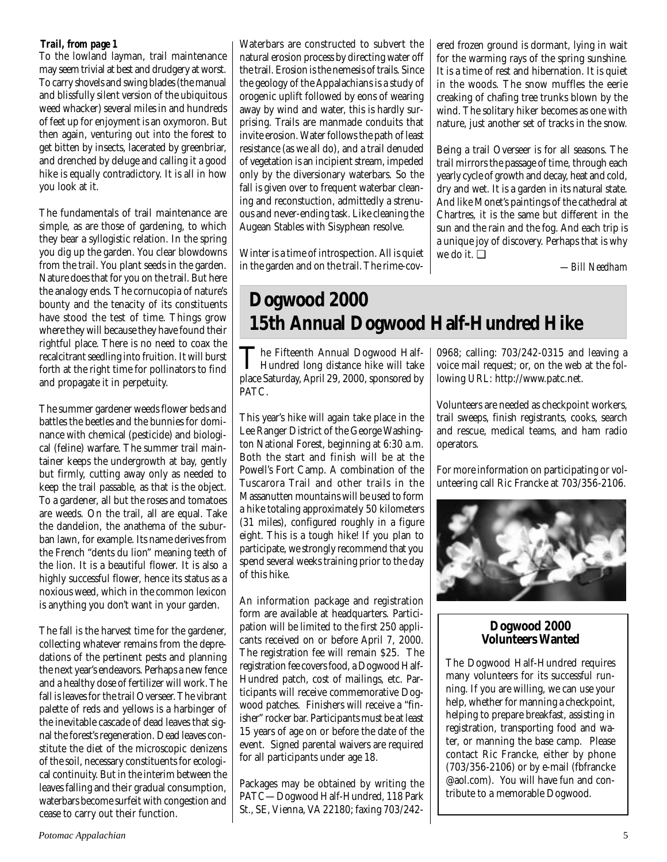## *Trail, from page 1*

To the lowland layman, trail maintenance may seem trivial at best and drudgery at worst. To carry shovels and swing blades (the manual and blissfully silent version of the ubiquitous weed whacker) several miles in and hundreds of feet up for enjoyment is an oxymoron. But then again, venturing out into the forest to get bitten by insects, lacerated by greenbriar, and drenched by deluge and calling it a good hike is equally contradictory. It is all in how you look at it.

The fundamentals of trail maintenance are simple, as are those of gardening, to which they bear a syllogistic relation. In the spring you dig up the garden. You clear blowdowns from the trail. You plant seeds in the garden. Nature does that for you on the trail. But here the analogy ends. The cornucopia of nature's bounty and the tenacity of its constituents have stood the test of time. Things grow where they will because they have found their rightful place. There is no need to coax the recalcitrant seedling into fruition. It will burst forth at the right time for pollinators to find and propagate it in perpetuity.

The summer gardener weeds flower beds and battles the beetles and the bunnies for dominance with chemical (pesticide) and biological (feline) warfare. The summer trail maintainer keeps the undergrowth at bay, gently but firmly, cutting away only as needed to keep the trail passable, as that is the object. To a gardener, all but the roses and tomatoes are weeds. On the trail, all are equal. Take the dandelion, the anathema of the suburban lawn, for example. Its name derives from the French "dents du lion" meaning teeth of the lion. It is a beautiful flower. It is also a highly successful flower, hence its status as a noxious weed, which in the common lexicon is anything you don't want in your garden.

The fall is the harvest time for the gardener, collecting whatever remains from the depredations of the pertinent pests and planning the next year's endeavors. Perhaps a new fence and a healthy dose of fertilizer will work. The fall is leaves for the trail Overseer. The vibrant palette of reds and yellows is a harbinger of the inevitable cascade of dead leaves that signal the forest's regeneration. Dead leaves constitute the diet of the microscopic denizens of the soil, necessary constituents for ecological continuity. But in the interim between the leaves falling and their gradual consumption, waterbars become surfeit with congestion and cease to carry out their function.

Waterbars are constructed to subvert the natural erosion process by directing water off the trail. Erosion is the nemesis of trails. Since the geology of the Appalachians is a study of orogenic uplift followed by eons of wearing away by wind and water, this is hardly surprising. Trails are manmade conduits that invite erosion. Water follows the path of least resistance (as we all do), and a trail denuded of vegetation is an incipient stream, impeded only by the diversionary waterbars. So the fall is given over to frequent waterbar cleaning and reconstuction, admittedly a strenuous and never-ending task. Like cleaning the Augean Stables with Sisyphean resolve.

Winter is a time of introspection. All is quiet in the garden and on the trail. The rime-cov-

ered frozen ground is dormant, lying in wait for the warming rays of the spring sunshine. It is a time of rest and hibernation. It is quiet in the woods. The snow muffles the eerie creaking of chafing tree trunks blown by the wind. The solitary hiker becomes as one with nature, just another set of tracks in the snow.

Being a trail Overseer is for all seasons. The trail mirrors the passage of time, through each yearly cycle of growth and decay, heat and cold, dry and wet. It is a garden in its natural state. And like Monet's paintings of the cathedral at Chartres, it is the same but different in the sun and the rain and the fog. And each trip is a unique joy of discovery. Perhaps that is why we do it. ❑

*—Bill Needham*

# **Dogwood 2000 15th Annual Dogwood Half-Hundred Hike**

The Fifteenth Annual Dogwood Half-<br>Hundred long distance hike will take place Saturday, April 29, 2000, sponsored by PATC.

This year's hike will again take place in the Lee Ranger District of the George Washington National Forest, beginning at 6:30 a.m. Both the start and finish will be at the Powell's Fort Camp. A combination of the Tuscarora Trail and other trails in the Massanutten mountains will be used to form a hike totaling approximately 50 kilometers (31 miles), configured roughly in a figure eight. This is a tough hike! If you plan to participate, we strongly recommend that you spend several weeks training prior to the day of this hike.

An information package and registration form are available at headquarters. Participation will be limited to the first 250 applicants received on or before April 7, 2000. The registration fee will remain \$25. The registration fee covers food, a Dogwood Half-Hundred patch, cost of mailings, etc. Participants will receive commemorative Dogwood patches. Finishers will receive a "finisher" rocker bar. Participants must be at least 15 years of age on or before the date of the event. Signed parental waivers are required for all participants under age 18.

Packages may be obtained by writing the PATC—Dogwood Half-Hundred, 118 Park St., SE, Vienna, VA 22180; faxing 703/242-

0968; calling: 703/242-0315 and leaving a voice mail request; or, on the web at the following URL: http://www.patc.net.

Volunteers are needed as checkpoint workers, trail sweeps, finish registrants, cooks, search and rescue, medical teams, and ham radio operators.

For more information on participating or volunteering call Ric Francke at 703/356-2106.



## **Dogwood 2000 Volunteers Wanted**

The Dogwood Half-Hundred requires many volunteers for its successful running. If you are willing, we can use your help, whether for manning a checkpoint, helping to prepare breakfast, assisting in registration, transporting food and water, or manning the base camp. Please contact Ric Francke, either by phone (703/356-2106) or by e-mail (fbfrancke @aol.com). You will have fun and contribute to a memorable Dogwood.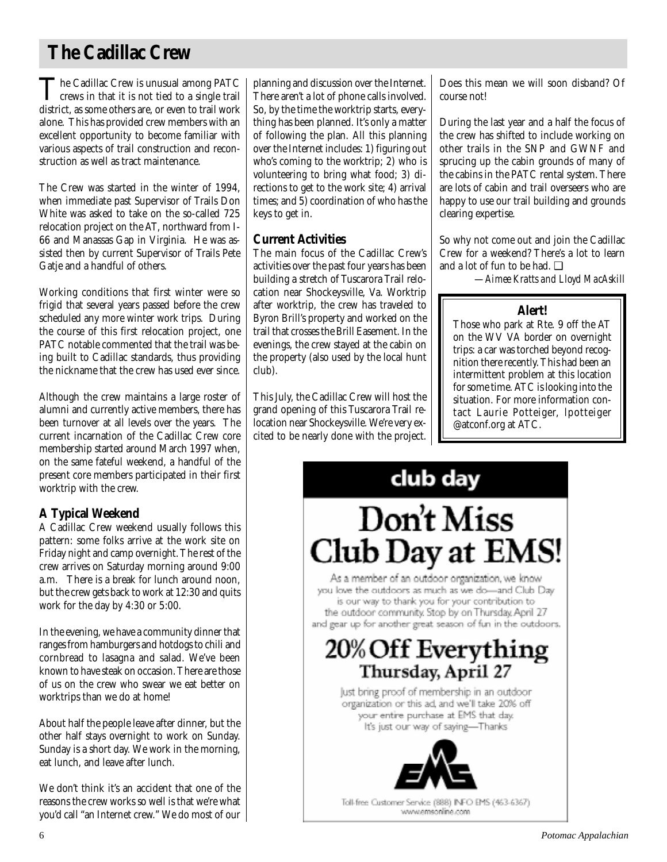# **The Cadillac Crew**

The Cadillac Crew is unusual among PATC<br>crews in that it is not tied to a single trail<br>district as same others are an sum to trail usual district, as some others are, or even to trail work alone. This has provided crew members with an excellent opportunity to become familiar with various aspects of trail construction and reconstruction as well as tract maintenance.

The Crew was started in the winter of 1994, when immediate past Supervisor of Trails Don White was asked to take on the so-called 725 relocation project on the AT, northward from I-66 and Manassas Gap in Virginia. He was assisted then by current Supervisor of Trails Pete Gatje and a handful of others.

Working conditions that first winter were so frigid that several years passed before the crew scheduled any more winter work trips. During the course of this first relocation project, one PATC notable commented that the trail was being built to Cadillac standards, thus providing the nickname that the crew has used ever since.

Although the crew maintains a large roster of alumni and currently active members, there has been turnover at all levels over the years. The current incarnation of the Cadillac Crew core membership started around March 1997 when, on the same fateful weekend, a handful of the present core members participated in their first worktrip with the crew.

# **A Typical Weekend**

A Cadillac Crew weekend usually follows this pattern: some folks arrive at the work site on Friday night and camp overnight. The rest of the crew arrives on Saturday morning around 9:00 a.m. There is a break for lunch around noon, but the crew gets back to work at 12:30 and quits work for the day by 4:30 or 5:00.

In the evening, we have a community dinner that ranges from hamburgers and hotdogs to chili and cornbread to lasagna and salad. We've been known to have steak on occasion. There are those of us on the crew who swear we eat better on worktrips than we do at home!

About half the people leave after dinner, but the other half stays overnight to work on Sunday. Sunday is a short day. We work in the morning, eat lunch, and leave after lunch.

We don't think it's an accident that one of the reasons the crew works so well is that we're what you'd call "an Internet crew." We do most of our

planning and discussion over the Internet. There aren't a lot of phone calls involved. So, by the time the worktrip starts, everything has been planned. It's only a matter of following the plan. All this planning over the Internet includes: 1) figuring out who's coming to the worktrip; 2) who is volunteering to bring what food; 3) directions to get to the work site; 4) arrival times; and 5) coordination of who has the keys to get in.

## **Current Activities**

The main focus of the Cadillac Crew's activities over the past four years has been building a stretch of Tuscarora Trail relocation near Shockeysville, Va. Worktrip after worktrip, the crew has traveled to Byron Brill's property and worked on the trail that crosses the Brill Easement. In the evenings, the crew stayed at the cabin on the property (also used by the local hunt club).

This July, the Cadillac Crew will host the grand opening of this Tuscarora Trail relocation near Shockeysville. We're very excited to be nearly done with the project.

Does this mean we will soon disband? Of course not!

During the last year and a half the focus of the crew has shifted to include working on other trails in the SNP and GWNF and sprucing up the cabin grounds of many of the cabins in the PATC rental system. There are lots of cabin and trail overseers who are happy to use our trail building and grounds clearing expertise.

So why not come out and join the Cadillac Crew for a weekend? There's a lot to learn and a lot of fun to be had. ❑

—*Aimee Kratts and Lloyd MacAskill*

## **Alert!**

Those who park at Rte. 9 off the AT on the WV VA border on overnight trips: a car was torched beyond recognition there recently. This had been an intermittent problem at this location for some time. ATC is looking into the situation. For more information contact Laurie Potteiger, lpotteiger @atconf.org at ATC.

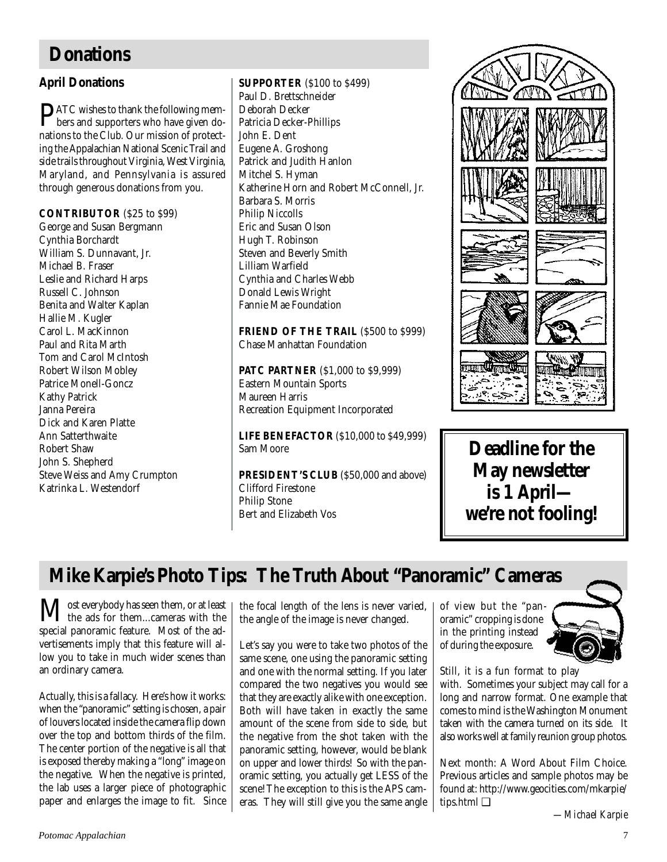# **Donations**

## **April Donations**

PATC wishes to thank the following mem-bers and supporters who have given donations to the Club. Our mission of protecting the Appalachian National Scenic Trail and side trails throughout Virginia, West Virginia, Maryland, and Pennsylvania is assured through generous donations from you.

### **CONTRIBUTOR** (\$25 to \$99)

George and Susan Bergmann Cynthia Borchardt William S. Dunnavant, Jr. Michael B. Fraser Leslie and Richard Harps Russell C. Johnson Benita and Walter Kaplan Hallie M. Kugler Carol L. MacKinnon Paul and Rita Marth Tom and Carol McIntosh Robert Wilson Mobley Patrice Monell-Goncz Kathy Patrick Janna Pereira Dick and Karen Platte Ann Satterthwaite Robert Shaw John S. Shepherd Steve Weiss and Amy Crumpton Katrinka L. Westendorf

**SUPPORTER** (\$100 to \$499) Paul D. Brettschneider Deborah Decker Patricia Decker-Phillips John E. Dent Eugene A. Groshong Patrick and Judith Hanlon Mitchel S. Hyman Katherine Horn and Robert McConnell, Jr. Barbara S. Morris Philip Niccolls Eric and Susan Olson Hugh T. Robinson Steven and Beverly Smith Lilliam Warfield Cynthia and Charles Webb Donald Lewis Wright Fannie Mae Foundation

## FRIEND OF THE TRAIL (\$500 to \$999) Chase Manhattan Foundation

**PATC PARTNER** (\$1,000 to \$9,999) Eastern Mountain Sports Maureen Harris Recreation Equipment Incorporated

**LIFE BENEFACTOR** (\$10,000 to \$49,999) Sam Moore

**PRESIDENT'S CLUB** (\$50,000 and above) Clifford Firestone Philip Stone Bert and Elizabeth Vos



**Deadline for the May newsletter is 1 April we're not fooling!**

# **Mike Karpie's Photo Tips: The Truth About "Panoramic" Cameras**

**M** ost everybody has seen them, or at least<br>the ads for them...cameras with the special panoramic feature. Most of the advertisements imply that this feature will allow you to take in much wider scenes than an ordinary camera.

Actually, this is a fallacy. Here's how it works: when the "panoramic" setting is chosen, a pair of louvers located inside the camera flip down over the top and bottom thirds of the film. The center portion of the negative is all that is exposed thereby making a "long" image on the negative. When the negative is printed, the lab uses a larger piece of photographic paper and enlarges the image to fit. Since

the focal length of the lens is never varied, the angle of the image is never changed.

Let's say you were to take two photos of the same scene, one using the panoramic setting and one with the normal setting. If you later compared the two negatives you would see that they are exactly alike with one exception. Both will have taken in exactly the same amount of the scene from side to side, but the negative from the shot taken with the panoramic setting, however, would be blank on upper and lower thirds! So with the panoramic setting, you actually get LESS of the scene! The exception to this is the APS cameras. They will still give you the same angle of view but the "panoramic" cropping is done in the printing instead of during the exposure.



Still, it is a fun format to play

with. Sometimes your subject may call for a long and narrow format. One example that comes to mind is the Washington Monument taken with the camera turned on its side. It also works well at family reunion group photos.

Next month: A Word About Film Choice. Previous articles and sample photos may be found at: http://www.geocities.com/mkarpie/ tips.html ❑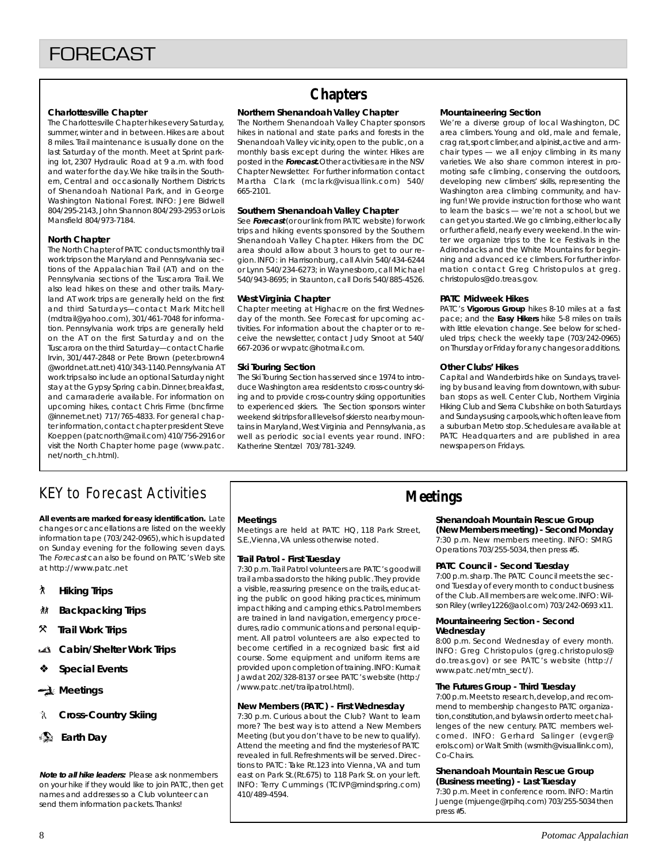#### **Charlottesville Chapter**

The Charlottesville Chapter hikes every Saturday, summer, winter and in between. Hikes are about 8 miles. Trail maintenance is usually done on the last Saturday of the month. Meet at Sprint parking lot, 2307 Hydraulic Road at 9 a.m. with food and water for the day. We hike trails in the Southern, Central and occasionally Northern Districts of Shenandoah National Park, and in George Washington National Forest. INFO: Jere Bidwell 804/295-2143, John Shannon 804/293-2953 or Lois Mansfield 804/973-7184.

#### **North Chapter**

The North Chapter of PATC conducts monthly trail work trips on the Maryland and Pennsylvania sections of the Appalachian Trail (AT) and on the Pennsylvania sections of the Tuscarora Trail. We also lead hikes on these and other trails. Maryland AT work trips are generally held on the first and third Saturdays—contact Mark Mitchell (mdtrail@yahoo.com), 301/461-7048 for information. Pennsylvania work trips are generally held on the AT on the first Saturday and on the Tuscarora on the third Saturday—contact Charlie Irvin, 301/447-2848 or Pete Brown (peter.brown4 @worldnet.att.net) 410/343-1140. Pennsylvania AT work trips also include an optional Saturday night stay at the Gypsy Spring cabin. Dinner, breakfast, and camaraderie available. For information on upcoming hikes, contact Chris Firme (bncfirme @innernet.net) 717/765-4833. For general chapter information, contact chapter president Steve Koeppen (patcnorth@mail.com) 410/756-2916 or visit the North Chapter home page (www.patc. net/north\_ch.html).

# **Chapters**

#### **Northern Shenandoah Valley Chapter**

The Northern Shenandoah Valley Chapter sponsors hikes in national and state parks and forests in the Shenandoah Valley vicinity, open to the public, on a monthly basis except during the winter. Hikes are posted in the **Forecast.** Other activities are in the NSV Chapter Newsletter. For further information contact Martha Clark (mclark@visuallink.com) 540/ 665-2101.

#### **Southern Shenandoah Valley Chapter**

See **Forecast** (or our link from PATC website) for work trips and hiking events sponsored by the Southern Shenandoah Valley Chapter. Hikers from the DC area should allow about 3 hours to get to our region. INFO: in Harrisonburg, call Alvin 540/434-6244 or Lynn 540/234-6273; in Waynesboro, call Michael 540/943-8695; in Staunton, call Doris 540/885-4526.

#### **West Virginia Chapter**

Chapter meeting at Highacre on the first Wednesday of the month. See Forecast for upcoming activities. For information about the chapter or to receive the newsletter, contact Judy Smoot at 540/ 667-2036 or wvpatc@hotmail.com.

#### **Ski Touring Section**

The Ski Touring Section has served since 1974 to introduce Washington area residents to cross-country skiing and to provide cross-country skiing opportunities to experienced skiers. The Section sponsors winter weekend ski trips for all levels of skiers to nearby mountains in Maryland, West Virginia and Pennsylvania, as well as periodic social events year round. INFO: Katherine Stentzel 703/781-3249.

#### **Mountaineering Section**

We're a diverse group of local Washington, DC area climbers. Young and old, male and female, crag rat, sport climber, and alpinist, active and armchair types — we all enjoy climbing in its many varieties. We also share common interest in promoting safe climbing, conserving the outdoors, developing new climbers' skills, representing the Washington area climbing community, and having fun! We provide instruction for those who want to learn the basics — we're not a school, but we can get you started. We go climbing, either locally or further afield, nearly every weekend. In the winter we organize trips to the Ice Festivals in the Adirondacks and the White Mountains for beginning and advanced ice climbers. For further information contact Greg Christopulos at greg. christopulos@do.treas.gov.

#### **PATC Midweek Hikes**

PATC's **Vigorous Group** hikes 8-10 miles at a fast pace; and the **Easy Hikers** hike 5-8 miles on trails with little elevation change. See below for scheduled trips; check the weekly tape (703/242-0965) on Thursday or Friday for any changes or additions.

#### **Other Clubs' Hikes**

Capital and Wanderbirds hike on Sundays, traveling by bus and leaving from downtown, with suburban stops as well. Center Club, Northern Virginia Hiking Club and Sierra Clubs hike on both Saturdays and Sundays using carpools, which often leave from a suburban Metro stop. Schedules are available at PATC Headquarters and are published in area newspapers on Fridays.

# KEY to Forecast Activities

**All events are marked for easy identification.** Late changes or cancellations are listed on the weekly information tape (703/242-0965), which is updated on Sunday evening for the following seven days. The Forecast can also be found on PATC's Web site at http://www.patc.net

- ` **Hiking Trips**
- **Backpacking Trips**
- } **Trail Work Trips**
- **Cabin/Shelter Work Trips**
- ❖ **Special Events**
- **Meetings**
- **Cross-Country Skiing**
- **Earth Day**

**Note to all hike leaders:** Please ask nonmembers on your hike if they would like to join PATC, then get names and addresses so a Club volunteer can send them information packets. Thanks!

#### **Meetings**

Meetings are held at PATC HQ, 118 Park Street, S.E.,Vienna, VA unless otherwise noted.

#### **Trail Patrol - First Tuesday**

7:30 p.m. Trail Patrol volunteers are PATC's goodwill trail ambassadors to the hiking public. They provide a visible, reassuring presence on the trails, educating the public on good hiking practices, minimum impact hiking and camping ethics. Patrol members are trained in land navigation, emergency procedures, radio communications and personal equipment. All patrol volunteers are also expected to become certified in a recognized basic first aid course. Some equipment and uniform items are provided upon completion of training. INFO: Kumait Jawdat 202/328-8137 or see PATC's website (http:/ /www.patc.net/trailpatrol.html).

#### **New Members (PATC) - First Wednesday**

7:30 p.m. Curious about the Club? Want to learn more? The best way is to attend a New Members Meeting (but you don't have to be new to qualify). Attend the meeting and find the mysteries of PATC revealed in full. Refreshments will be served. Directions to PATC: Take Rt.123 into Vienna, VA and turn east on Park St.(Rt.675) to 118 Park St. on your left. INFO: Terry Cummings (TCIVP@mindspring.com) 410/489-4594.

## **Meetings**

## **Shenandoah Mountain Rescue Group**

**(New Members meeting) - Second Monday** 7:30 p.m. New members meeting. INFO: SMRG Operations 703/255-5034, then press #5.

#### **PATC Council - Second Tuesday**

7:00 p.m. sharp. The PATC Council meets the second Tuesday of every month to conduct business of the Club. All members are welcome. INFO: Wilson Riley (wriley1226@aol.com) 703/242-0693 x11.

#### **Mountaineering Section - Second Wednesday**

8:00 p.m. Second Wednesday of every month. INFO: Greg Christopulos (greg.christopulos@ do.treas.gov) or see PATC's website (http:// www.patc.net/mtn\_sect/).

#### **The Futures Group - Third Tuesday**

7:00 p.m. Meets to research, develop, and recommend to membership changes to PATC organization, constitution, and bylaws in order to meet challenges of the new century. PATC members welcomed. INFO: Gerhard Salinger (evger@ erols.com) or Walt Smith (wsmith@visuallink.com), Co-Chairs.

#### **Shenandoah Mountain Rescue Group (Business meeting) - Last Tuesday**

7:30 p.m. Meet in conference room. INFO: Martin Juenge (mjuenge@rpihq.com) 703/255-5034 then press #5.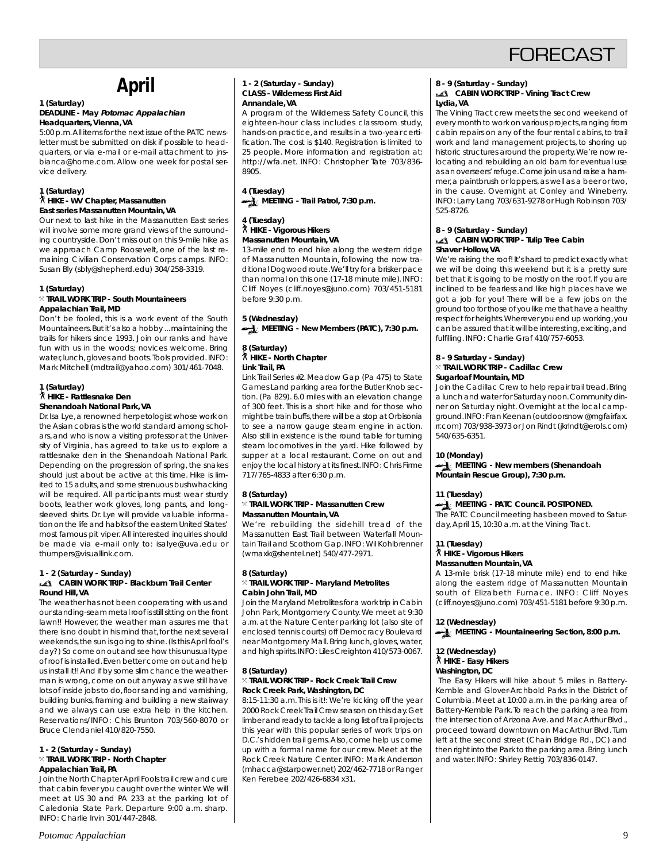# **FORECAST**

# **April**

#### **1 (Saturday) DEADLINE - May Potomac Appalachian Headquarters, Vienna, VA**

5:00 p.m. All items for the next issue of the PATC newsletter must be submitted on disk if possible to headquarters, or via e-mail or e-mail attachment to jnsbianca@home.com. Allow one week for postal service delivery.

#### **1 (Saturday)** ` **HIKE - WV Chapter, Massanutten East series Massanutten Mountain, VA**

Our next to last hike in the Massanutten East series will involve some more grand views of the surrounding countryside. Don't miss out on this 9-mile hike as we approach Camp Roosevelt, one of the last remaining Civilian Conservation Corps camps. INFO: Susan Bly (sbly@shepherd.edu) 304/258-3319.

#### **1 (Saturday)**

#### } **TRAIL WORK TRIP - South Mountaineers Appalachian Trail, MD**

Don't be fooled, this is a work event of the South Mountaineers. But it's also a hobby ... maintaining the trails for hikers since 1993. Join our ranks and have fun with us in the woods; novices welcome. Bring water, lunch, gloves and boots. Tools provided. INFO: Mark Mitchell (mdtrail@yahoo.com) 301/461-7048.

#### **1 (Saturday)** ` **HIKE - Rattlesnake Den Shenandoah National Park, VA**

Dr. Isa Lye, a renowned herpetologist whose work on the Asian cobras is the world standard among scholars, and who is now a visiting professor at the University of Virginia, has agreed to take us to explore a rattlesnake den in the Shenandoah National Park. Depending on the progression of spring, the snakes should just about be active at this time. Hike is limited to 15 adults, and some strenuous bushwhacking will be required. All participants must wear sturdy boots, leather work gloves, long pants, and longsleeved shirts. Dr. Lye will provide valuable information on the life and habits of the eastern United States' most famous pit viper. All interested inquiries should be made via e-mail only to: isalye@uva.edu or thumpers@visuallink.com.

#### **1 - 2 (Saturday - Sunday) CABIN WORK TRIP - Blackburn Trail Center Round Hill, VA**

The weather has not been cooperating with us and our standing-seam metal roof is still sitting on the front lawn!! However, the weather man assures me that there is no doubt in his mind that, for the next several weekends, the sun is going to shine. (Is this April fool's day?) So come on out and see how this unusual type of roof is installed. Even better come on out and help us install it!! And if by some slim chance the weatherman is wrong, come on out anyway as we still have lots of inside jobs to do, floor sanding and varnishing, building bunks, framing and building a new stairway and we always can use extra help in the kitchen. Reservations/INFO: Chis Brunton 703/560-8070 or Bruce Clendaniel 410/820-7550.

#### **1 - 2 (Saturday - Sunday)** } **TRAIL WORK TRIP - North Chapter Appalachian Trail, PA**

Join the North Chapter April Fools trail crew and cure that cabin fever you caught over the winter. We will meet at US 30 and PA 233 at the parking lot of Caledonia State Park. Departure 9:00 a.m. sharp. INFO: Charlie Irvin 301/447-2848.

#### **1 - 2 (Saturday - Sunday) CLASS - Wilderness First Aid Annandale, VA**

A program of the Wilderness Safety Council, this eighteen-hour class includes classroom study, hands-on practice, and results in a two-year certification. The cost is \$140. Registration is limited to 25 people. More information and registration at: http://wfa.net. INFO: Christopher Tate 703/836- 8905.

**4 (Tuesday) MEETING - Trail Patrol, 7:30 p.m.** 

#### **4 (Tuesday)** ` **HIKE - Vigorous Hikers Massanutten Mountain, VA**

13-mile end to end hike along the western ridge of Massanutten Mountain, following the now traditional Dogwood route. We'll try for a brisker pace than normal on this one (17-18 minute mile). INFO: Cliff Noyes (cliff.noyes@juno.com) 703/451-5181 before 9:30 p.m.

### **5 (Wednesday) MEETING - New Members (PATC), 7:30 p.m.**

#### **8 (Saturday)** ` **HIKE - North Chapter Link Trail, PA**

Link Trail Series #2. Meadow Gap (Pa 475) to State Games Land parking area for the Butler Knob section. (Pa 829). 6.0 miles with an elevation change of 300 feet. This is a short hike and for those who might be train buffs, there will be a stop at Orbisonia to see a narrow gauge steam engine in action. Also still in existence is the round table for turning steam locomotives in the yard. Hike followed by supper at a local restaurant. Come on out and enjoy the local history at its finest. INFO: Chris Firme 717/765-4833 after 6:30 p.m.

#### **8 (Saturday)** } **TRAIL WORK TRIP - Massanutten Crew Massanutten Mountain, VA**

We're rebuilding the sidehill tread of the Massanutten East Trail between Waterfall Mountain Trail and Scothorn Gap. INFO: Wil Kohlbrenner (wmaxk@shentel.net) 540/477-2971.

#### **8 (Saturday)** } **TRAIL WORK TRIP - Maryland Metrolites Cabin John Trail, MD**

Join the Maryland Metrolites for a work trip in Cabin John Park, Montgomery County. We meet at 9:30 a.m. at the Nature Center parking lot (also site of enclosed tennis courts) off Democracy Boulevard near Montgomery Mall. Bring lunch, gloves, water, and high spirits. INFO: Liles Creighton 410/573-0067.

#### **8 (Saturday)** } **TRAIL WORK TRIP - Rock Creek Trail Crew Rock Creek Park, Washington, DC**

8:15-11:30 a.m. This is it!: We're kicking off the year 2000 Rock Creek Trail Crew season on this day. Get limber and ready to tackle a long list of trail projects this year with this popular series of work trips on D.C.'s hidden trail gems. Also, come help us come up with a formal name for our crew. Meet at the Rock Creek Nature Center. INFO: Mark Anderson (mhacca@starpower.net) 202/462-7718 or Ranger Ken Ferebee 202/426-6834 x31.

### **8 - 9 (Saturday - Sunday)**

#### **CABIN WORK TRIP - Vining Tract Crew Lydia, VA**

The Vining Tract crew meets the second weekend of every month to work on various projects, ranging from cabin repairs on any of the four rental cabins, to trail work and land management projects, to shoring up historic structures around the property. We're now relocating and rebuilding an old barn for eventual use as an overseers' refuge. Come join us and raise a hammer, a paintbrush or loppers, as well as a beer or two, in the cause. Overnight at Conley and Wineberry. INFO: Larry Lang 703/631-9278 or Hugh Robinson 703/ 525-8726.

#### **8 - 9 (Saturday - Sunday) CABIN WORK TRIP - Tulip Tree Cabin Shaver Hollow, VA**

We're raising the roof! It's hard to predict exactly what we will be doing this weekend but it is a pretty sure bet that it is going to be mostly on the roof. If you are inclined to be fearless and like high places have we got a job for you! There will be a few jobs on the ground too for those of you like me that have a healthy respect for heights. Wherever you end up working, you can be assured that it will be interesting, exciting, and fulfilling. INFO: Charlie Graf 410/757-6053.

#### **8 - 9 Saturday - Sunday)** } **TRAIL WORK TRIP - Cadillac Crew Sugarloaf Mountain, MD**

Join the Cadillac Crew to help repair trail tread. Bring a lunch and water for Saturday noon. Community dinner on Saturday night. Overnight at the local campground. INFO: Fran Keenan (outdoorsnow @mgfairfax. rr.com) 703/938-3973 or Jon Rindt (jkrindt@erols.com) 540/635-6351.

### **10 (Monday)**

**MEETING - New members (Shenandoah Mountain Rescue Group), 7:30 p.m.**

### **11 (Tuesday)**

### **MEETING - PATC Council. POSTPONED.**

The PATC Council meeting has been moved to Saturday, April 15, 10:30 a.m. at the Vining Tract.

### **11 (Tuesday)**

## ` **HIKE - Vigorous Hikers**

### **Massanutten Mountain, VA**

A 13-mile brisk (17-18 minute mile) end to end hike along the eastern ridge of Massanutten Mountain south of Elizabeth Furnace. INFO: Cliff Noyes (cliff.noyes@juno.com) 703/451-5181 before 9:30 p.m.

#### **12 (Wednesday)**

MEETING - Mountaineering Section, 8:00 p.m.

## **12 (Wednesday)** ` **HIKE - Easy Hikers Washington, DC**

 The Easy Hikers will hike about 5 miles in Battery-Kemble and Glover-Archbold Parks in the District of Columbia. Meet at 10:00 a.m. in the parking area of Battery-Kemble Park. To reach the parking area from the intersection of Arizona Ave. and MacArthur Blvd., proceed toward downtown on MacArthur Blvd. Turn left at the second street (Chain Bridge Rd., DC) and then right into the Park to the parking area. Bring lunch and water. INFO: Shirley Rettig 703/836-0147.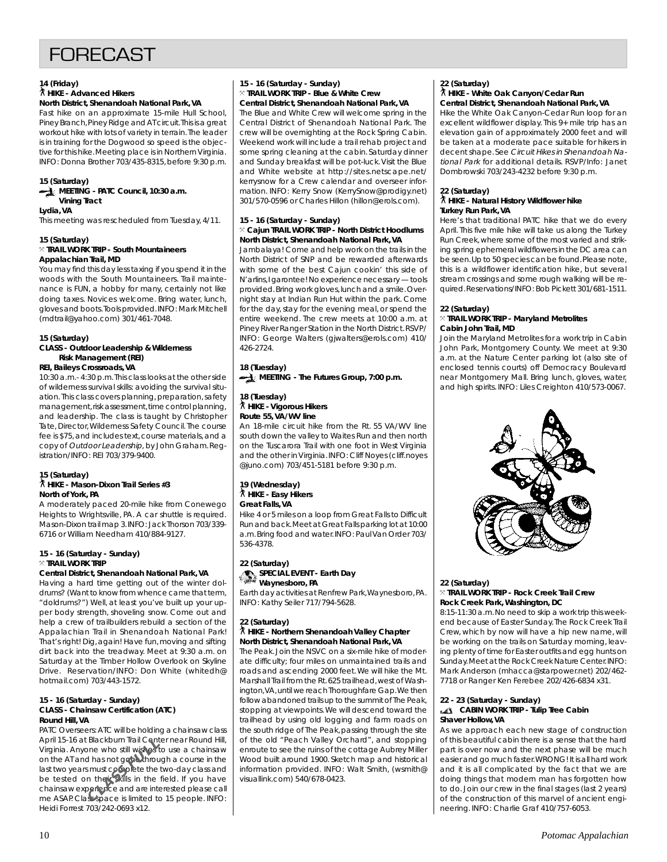# **FORFCAST**

#### **14 (Friday)** ` **HIKE - Advanced Hikers North District, Shenandoah National Park, VA**

Fast hike on an approximate 15-mile Hull School, Piney Branch, Piney Ridge and AT circuit. This is a great workout hike with lots of variety in terrain. The leader is in training for the Dogwood so speed is the objective for this hike. Meeting place is in Northern Virginia. INFO: Donna Brother 703/435-8315, before 9:30 p.m.

#### **15 (Saturday)**

#### **MEETING - PATC Council, 10:30 a.m. Vining Tract Lydia, VA**

This meeting was rescheduled from Tuesday, 4/11.

#### **15 (Saturday)** } **TRAIL WORK TRIP - South Mountaineers Appalachian Trail, MD**

You may find this day less taxing if you spend it in the woods with the South Mountaineers. Trail maintenance is FUN, a hobby for many, certainly not like doing taxes. Novices welcome. Bring water, lunch, gloves and boots. Tools provided. INFO: Mark Mitchell (mdtrail@yahoo.com) 301/461-7048.

#### **15 (Saturday)**

#### **CLASS - Outdoor Leadership & Wilderness Risk Management (REI)**

**REI, Baileys Crossroads, VA**

10:30 a.m.- 4:30 p.m. This class looks at the other side of wilderness survival skills: avoiding the survival situation. This class covers planning, preparation, safety management, risk assessment, time control planning, and leadership. The class is taught by Christopher Tate, Director, Wilderness Safety Council. The course fee is \$75, and includes text, course materials, and a copy of Outdoor Leadership, by John Graham. Registration/INFO: REI 703/379-9400.

#### **15 (Saturday)** ` **HIKE - Mason-Dixon Trail Series #3 North of York, PA**

A moderately paced 20-mile hike from Conewego Heights to Wrightsville, PA. A car shuttle is required. Mason-Dixon trail map 3. INFO: Jack Thorson 703/339- 6716 or William Needham 410/884-9127.

### **15 - 16 (Saturday - Sunday)**  $\times$  Trail work trip

#### **Central District, Shenandoah National Park, VA** Having a hard time getting out of the winter dol-

drums? (Want to know from whence came that term, "doldrums?") Well, at least you've built up your upper body strength, shoveling snow. Come out and help a crew of trailbuilders rebuild a section of the Appalachian Trail in Shenandoah National Park! That's right! Dig, again! Have fun, moving and sifting dirt back into the treadway. Meet at 9:30 a.m. on Saturday at the Timber Hollow Overlook on Skyline Drive. Reservation/INFO: Don White (whitedh@ hotmail.com) 703/443-1572.

#### **15 - 16 (Saturday - Sunday) CLASS - Chainsaw Certification (ATC) Round Hill, VA**

PATC Overseers: ATC will be holding a chainsaw class April 15-16 at Blackburn Trail Center near Round Hill, Virginia. Anyone who still wishes to use a chainsaw on the AT and has not gone through a course in the last two years must complete the two-day class and be tested on their skills in the field. If you have chainsaw experience and are interested please call me ASAP. Class space is limited to 15 people. INFO: Heidi Forrest 703/242-0693 x12. **Exactburn Irail Cent**<br>Since who still wishes the<br>And has not gone through<br>the metal complete the the<br>perfence and are interesting the perfence and are interesting<br>subscribed is limited to

#### **15 - 16 (Saturday - Sunday)** } **TRAIL WORK TRIP - Blue & White Crew Central District, Shenandoah National Park, VA**

The Blue and White Crew will welcome spring in the Central District of Shenandoah National Park. The crew will be overnighting at the Rock Spring Cabin. Weekend work will include a trail rehab project and some spring cleaning at the cabin. Saturday dinner and Sunday breakfast will be pot-luck. Visit the Blue and White website at http://sites.netscape.net/ kerrysnow for a Crew calendar and overseer information. INFO: Kerry Snow (KerrySnow@prodigy.net) 301/570-0596 or Charles Hillon (hillon@erols.com).

#### **15 - 16 (Saturday - Sunday)** } **Cajun TRAIL WORK TRIP - North District Hoodlums North District, Shenandoah National Park, VA**

Jambalaya! Come and help work on the trails in the North District of SNP and be rewarded afterwards with some of the best Cajun cookin' this side of N'arlins, I garontee! No experience necessary — tools provided. Bring work gloves, lunch and a smile. Overnight stay at Indian Run Hut within the park. Come for the day, stay for the evening meal, or spend the entire weekend. The crew meets at 10:00 a.m. at Piney River Ranger Station in the North District. RSVP/ INFO: George Walters (gjwalters@erols.com) 410/ 426-2724.

## **18 (Tuesday) MEETING - The Futures Group, 7:00 p.m.**

#### **18 (Tuesday)** ` **HIKE - Vigorous Hikers Route 55, VA/WV line**

An 18-mile circuit hike from the Rt. 55 VA/WV line south down the valley to Waites Run and then north on the Tuscarora Trail with one foot in West Virginia and the other in Virginia. INFO: Cliff Noyes (cliff.noyes @juno.com) 703/451-5181 before 9:30 p.m.

#### **19 (Wednesday)** ` **HIKE - Easy Hikers Great Falls, VA**

Hike 4 or 5 miles on a loop from Great Falls to Difficult Run and back. Meet at Great Falls parking lot at 10:00 a.m. Bring food and water. INFO: Paul Van Order 703/ 536-4378.

#### **22 (Saturday) SPECIAL EVENT - Earth Day Waynesboro, PA**

Earth day activities at Renfrew Park, Waynesboro, PA. INFO: Kathy Seiler 717/794-5628.

#### **22 (Saturday)** ` **HIKE - Northern Shenandoah Valley Chapter North District, Shenandoah National Park, VA**

The Peak. Join the NSVC on a six-mile hike of moderate difficulty; four miles on unmaintained trails and roads and ascending 2000 feet. We will hike the Mt. Marshall Trail from the Rt. 625 trailhead, west of Washington, VA, until we reach Thoroughfare Gap. We then follow abandoned trails up to the summit of The Peak, stopping at viewpoints. We will descend toward the trailhead by using old logging and farm roads on the south ridge of The Peak, passing through the site of the old "Peach Valley Orchard", and stopping enroute to see the ruins of the cottage Aubrey Miller Wood built around 1900. Sketch map and historical information provided. INFO: Walt Smith, (wsmith@ visuallink.com) 540/678-0423.

#### **22 (Saturday)** ` **HIKE - White Oak Canyon/Cedar Run Central District, Shenandoah National Park, VA**

Hike the White Oak Canyon-Cedar Run loop for an excellent wildflower display. This 9+ mile trip has an elevation gain of approximately 2000 feet and will be taken at a moderate pace suitable for hikers in decent shape. See Circuit Hikes in Shenandoah National Park for additional details. RSVP/Info: Janet Dombrowski 703/243-4232 before 9:30 p.m.

## **22 (Saturday)** ` **HIKE - Natural History Wildflower hike Turkey Run Park, VA**

Here's that traditional PATC hike that we do every April. This five mile hike will take us along the Turkey Run Creek, where some of the most varied and striking spring ephemeral wildflowers in the DC area can be seen. Up to 50 species can be found. Please note, this is a wildflower identification hike, but several stream crossings and some rough walking will be required. Reservations/INFO: Bob Pickett 301/681-1511.

### **22 (Saturday)**

#### } **TRAIL WORK TRIP - Maryland Metrolites Cabin John Trail, MD**

Join the Maryland Metrolites for a work trip in Cabin John Park, Montgomery County. We meet at 9:30 a.m. at the Nature Center parking lot (also site of enclosed tennis courts) off Democracy Boulevard near Montgomery Mall. Bring lunch, gloves, water, and high spirits. INFO: Liles Creighton 410/573-0067.



#### **22 (Saturday)** } **TRAIL WORK TRIP - Rock Creek Trail Crew Rock Creek Park, Washington, DC**

8:15-11:30 a.m. No need to skip a work trip this weekend because of Easter Sunday. The Rock Creek Trail Crew, which by now will have a hip new name, will be working on the trails on Saturday morning, leaving plenty of time for Easter outfits and egg hunts on Sunday. Meet at the Rock Creek Nature Center. INFO: Mark Anderson (mhacca@starpower.net) 202/462- 7718 or Ranger Ken Ferebee 202/426-6834 x31.

## **22 - 23 (Saturday - Sunday)**

#### **CABIN WORK TRIP - Tulip Tree Cabin Shaver Hollow, VA**

As we approach each new stage of construction of this beautiful cabin there is a sense that the hard part is over now and the next phase will be much easier and go much faster. WRONG! It is all hard work and it is all complicated by the fact that we are doing things that modern man has forgotten how to do. Join our crew in the final stages (last 2 years) of the construction of this marvel of ancient engineering. INFO: Charlie Graf 410/757-6053.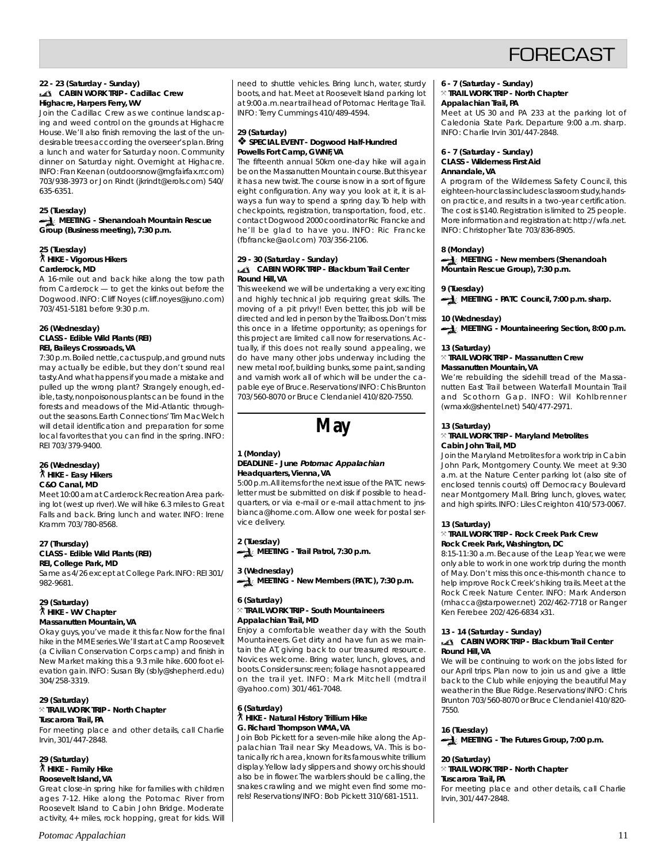

#### **22 - 23 (Saturday - Sunday) CABIN WORK TRIP - Cadillac Crew Highacre, Harpers Ferry, WV**

Join the Cadillac Crew as we continue landscaping and weed control on the grounds at Highacre House. We'll also finish removing the last of the undesirable trees according the overseer's plan. Bring a lunch and water for Saturday noon. Community dinner on Saturday night. Overnight at Highacre. INFO: Fran Keenan (outdoorsnow@mgfairfax.rr.com) 703/938-3973 or Jon Rindt (jkrindt@erols.com) 540/ 635-6351.

#### **25 (Tuesday) MEETING - Shenandoah Mountain Rescue Group (Business meeting), 7:30 p.m.**

#### **25 (Tuesday)** ` **HIKE - Vigorous Hikers Carderock, MD**

A 16-mile out and back hike along the tow path from Carderock — to get the kinks out before the Dogwood. INFO: Cliff Noyes (cliff.noyes@juno.com) 703/451-5181 before 9:30 p.m.

#### **26 (Wednesday) CLASS - Edible Wild Plants (REI) REI, Baileys Crossroads, VA**

7:30 p.m. Boiled nettle, cactus pulp, and ground nuts may actually be edible, but they don't sound real tasty. And what happens if you made a mistake and pulled up the wrong plant? Strangely enough, edible, tasty, nonpoisonous plants can be found in the forests and meadows of the Mid-Atlantic throughout the seasons. Earth Connections' Tim MacWelch will detail identification and preparation for some local favorites that you can find in the spring. INFO: REI 703/379-9400.

#### **26 (Wednesday)** ` **HIKE - Easy Hikers C&O Canal, MD**

Meet 10:00 am at Carderock Recreation Area parking lot (west up river). We will hike 6.3 miles to Great Falls and back. Bring lunch and water. INFO: Irene Kramm 703/780-8568.

#### **27 (Thursday) CLASS - Edible Wild Plants (REI) REI, College Park, MD**

Same as 4/26 except at College Park. INFO: REI 301/ 982-9681.

#### **29 (Saturday)** ` **HIKE - WV Chapter Massanutten Mountain, VA**

Okay guys, you've made it this far. Now for the final hike in the MME series. We'll start at Camp Roosevelt (a Civilian Conservation Corps camp) and finish in New Market making this a 9.3 mile hike. 600 foot elevation gain. INFO: Susan Bly (sbly@shepherd.edu) 304/258-3319.

#### **29 (Saturday)** } **TRAIL WORK TRIP - North Chapter**

**Tuscarora Trail, PA**

For meeting place and other details, call Charlie Irvin, 301/447-2848.

## **29 (Saturday)** ` **HIKE - Family Hike Roosevelt Island, VA**

Great close-in spring hike for families with children ages 7-12. Hike along the Potomac River from Roosevelt Island to Cabin John Bridge. Moderate activity, 4+ miles, rock hopping, great for kids. Will

need to shuttle vehicles. Bring lunch, water, sturdy boots, and hat. Meet at Roosevelt Island parking lot at 9:00 a.m. near trail head of Potomac Heritage Trail. INFO: Terry Cummings 410/489-4594.

#### **29 (Saturday)** ❖ **SPECIAL EVENT - Dogwood Half-Hundred Powells Fort Camp, GWNF, VA**

The fifteenth annual 50km one-day hike will again be on the Massanutten Mountain course. But this year it has a new twist. The course is now in a sort of figure eight configuration. Any way you look at it, it is always a fun way to spend a spring day. To help with checkpoints, registration, transportation, food, etc. contact Dogwood 2000 coordinator Ric Francke and he'll be glad to have you. INFO: Ric Francke (fbfrancke@aol.com) 703/356-2106.

#### **29 - 30 (Saturday - Sunday) CABIN WORK TRIP - Blackburn Trail Center Round Hill, VA**

This weekend we will be undertaking a very exciting and highly technical job requiring great skills. The moving of a pit privy!! Even better, this job will be directed and led in person by the Trailboss. Don't miss this once in a lifetime opportunity; as openings for this project are limited call now for reservations. Actually, if this does not really sound appealing, we do have many other jobs underway including the new metal roof, building bunks, some paint, sanding and varnish work all of which will be under the capable eye of Bruce. Reservations/INFO: Chis Brunton 703/560-8070 or Bruce Clendaniel 410/820-7550.



#### **1 (Monday) DEADLINE - June Potomac Appalachian Headquarters, Vienna, VA**

5:00 p.m. All items for the next issue of the PATC newsletter must be submitted on disk if possible to headquarters, or via e-mail or e-mail attachment to jnsbianca@home.com. Allow one week for postal service delivery.

**2 (Tuesday) MEETING - Trail Patrol, 7:30 p.m.** 

**3 (Wednesday)** MEETING - New Members (PATC), 7:30 p.m.

#### **6 (Saturday)** } **TRAIL WORK TRIP - South Mountaineers Appalachian Trail, MD**

Enjoy a comfortable weather day with the South Mountaineers. Get dirty and have fun as we maintain the AT, giving back to our treasured resource. Novices welcome. Bring water, lunch, gloves, and boots. Consider sunscreen; foliage has not appeared on the trail yet. INFO: Mark Mitchell (mdtrail @yahoo.com) 301/461-7048.

# **6 (Saturday)** ` **HIKE - Natural History Trillium Hike G. Richard Thompson WMA, VA**

Join Bob Pickett for a seven-mile hike along the Appalachian Trail near Sky Meadows, VA. This is botanically rich area, known for its famous white trillium display. Yellow lady slippers and showy orchis should also be in flower. The warblers should be calling, the snakes crawling and we might even find some morels! Reservations/INFO: Bob Pickett 310/681-1511.

**6 - 7 (Saturday - Sunday)**

#### } **TRAIL WORK TRIP - North Chapter Appalachian Trail, PA**

Meet at US 30 and PA 233 at the parking lot of Caledonia State Park. Departure 9:00 a.m. sharp. INFO: Charlie Irvin 301/447-2848.

#### **6 - 7 (Saturday - Sunday) CLASS - Wilderness First Aid Annandale, VA**

A program of the Wilderness Safety Council, this eighteen-hour class includes classroom study, handson practice, and results in a two-year certification. The cost is \$140. Registration is limited to 25 people. More information and registration at: http://wfa.net. INFO: Christopher Tate 703/836-8905.

### **8 (Monday)**

#### **MEETING - New members (Shenandoah Mountain Rescue Group), 7:30 p.m.**

**9 (Tuesday) MEETING - PATC Council, 7:00 p.m. sharp.** 

### **10 (Wednesday)**

**MEETING - Mountaineering Section, 8:00 p.m.**

## **13 (Saturday)**

#### } **TRAIL WORK TRIP - Massanutten Crew Massanutten Mountain, VA**

We're rebuilding the sidehill tread of the Massanutten East Trail between Waterfall Mountain Trail and Scothorn Gap. INFO: Wil Kohlbrenner (wmaxk@shentel.net) 540/477-2971.

### **13 (Saturday)**

#### } **TRAIL WORK TRIP - Maryland Metrolites Cabin John Trail, MD**

Join the Maryland Metrolites for a work trip in Cabin John Park, Montgomery County. We meet at 9:30 a.m. at the Nature Center parking lot (also site of enclosed tennis courts) off Democracy Boulevard near Montgomery Mall. Bring lunch, gloves, water, and high spirits. INFO: Liles Creighton 410/573-0067.

#### **13 (Saturday)**

#### } **TRAIL WORK TRIP - Rock Creek Park Crew Rock Creek Park, Washington, DC**

8:15-11:30 a.m. Because of the Leap Year, we were only able to work in one work trip during the month of May. Don't miss this once-this-month chance to help improve Rock Creek's hiking trails. Meet at the Rock Creek Nature Center. INFO: Mark Anderson (mhacca@starpower.net) 202/462-7718 or Ranger Ken Ferebee 202/426-6834 x31.

#### **13 - 14 (Saturday - Sunday)**

#### **CABIN WORK TRIP - Blackburn Trail Center Round Hill, VA**

We will be continuing to work on the jobs listed for our April trips. Plan now to join us and give a little back to the Club while enjoying the beautiful May weather in the Blue Ridge. Reservations/INFO: Chris Brunton 703/560-8070 or Bruce Clendaniel 410/820- 7550.

**16 (Tuesday)**

**MEETING - The Futures Group, 7:00 p.m.** 

**20 (Saturday)**

#### } **TRAIL WORK TRIP - North Chapter Tuscarora Trail, PA**

For meeting place and other details, call Charlie Irvin, 301/447-2848.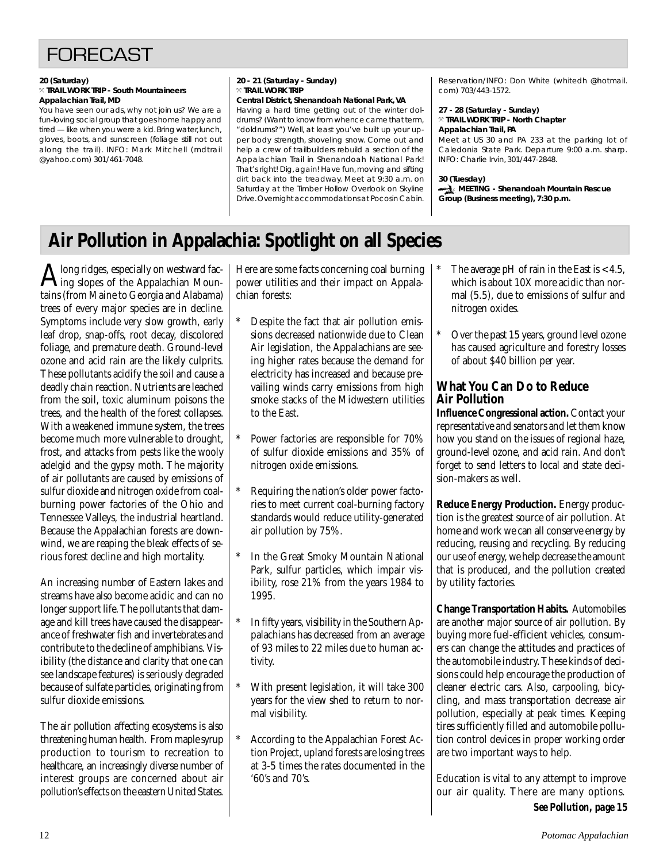

#### **20 (Saturday)** } **TRAIL WORK TRIP - South Mountaineers Appalachian Trail, MD**

You have seen our ads, why not join us? We are a fun-loving social group that goes home happy and tired — like when you were a kid. Bring water, lunch, gloves, boots, and sunscreen (foliage still not out along the trail). INFO: Mark Mitchell (mdtrail @yahoo.com) 301/461-7048.

#### **20 - 21 (Saturday - Sunday)** } **TRAIL WORK TRIP Central District, Shenandoah National Park, VA**

Having a hard time getting out of the winter doldrums? (Want to know from whence came that term, "doldrums?") Well, at least you've built up your upper body strength, shoveling snow. Come out and help a crew of trailbuilders rebuild a section of the Appalachian Trail in Shenandoah National Park! That's right! Dig, again! Have fun, moving and sifting dirt back into the treadway. Meet at 9:30 a.m. on Saturday at the Timber Hollow Overlook on Skyline Drive. Overnight accommodations at Pocosin Cabin.

Reservation/INFO: Don White (whitedh @hotmail. com) 703/443-1572.

#### **27 - 28 (Saturday - Sunday)** } **TRAIL WORK TRIP - North Chapter Appalachian Trail, PA**

Meet at US 30 and PA 233 at the parking lot of Caledonia State Park. Departure 9:00 a.m. sharp. INFO: Charlie Irvin, 301/447-2848.

### **30 (Tuesday)**

**MEETING - Shenandoah Mountain Rescue Group (Business meeting), 7:30 p.m.**

# **Air Pollution in Appalachia: Spotlight on all Species**

 $\mathbf{A}$  long ridges, especially on westward fac-<br>taing slopes of the Appalachian Mountains (from Maine to Georgia and Alabama) trees of every major species are in decline. Symptoms include very slow growth, early leaf drop, snap-offs, root decay, discolored foliage, and premature death. Ground-level ozone and acid rain are the likely culprits. These pollutants acidify the soil and cause a deadly chain reaction. Nutrients are leached from the soil, toxic aluminum poisons the trees, and the health of the forest collapses. With a weakened immune system, the trees become much more vulnerable to drought, frost, and attacks from pests like the wooly adelgid and the gypsy moth. The majority of air pollutants are caused by emissions of sulfur dioxide and nitrogen oxide from coalburning power factories of the Ohio and Tennessee Valleys, the industrial heartland. Because the Appalachian forests are downwind, we are reaping the bleak effects of serious forest decline and high mortality.

An increasing number of Eastern lakes and streams have also become acidic and can no longer support life. The pollutants that damage and kill trees have caused the disappearance of freshwater fish and invertebrates and contribute to the decline of amphibians. Visibility (the distance and clarity that one can see landscape features) is seriously degraded because of sulfate particles, originating from sulfur dioxide emissions.

The air pollution affecting ecosystems is also threatening human health. From maple syrup production to tourism to recreation to healthcare, an increasingly diverse number of interest groups are concerned about air pollution's effects on the eastern United States.

Here are some facts concerning coal burning power utilities and their impact on Appalachian forests:

- Despite the fact that air pollution emissions decreased nationwide due to Clean Air legislation, the Appalachians are seeing higher rates because the demand for electricity has increased and because prevailing winds carry emissions from high smoke stacks of the Midwestern utilities to the East.
- Power factories are responsible for 70% of sulfur dioxide emissions and 35% of nitrogen oxide emissions.
- Requiring the nation's older power factories to meet current coal-burning factory standards would reduce utility-generated air pollution by 75%.
- In the Great Smoky Mountain National Park, sulfur particles, which impair visibility, rose 21% from the years 1984 to 1995.
- In fifty years, visibility in the Southern Appalachians has decreased from an average of 93 miles to 22 miles due to human activity.
- With present legislation, it will take 300 years for the view shed to return to normal visibility.
- According to the Appalachian Forest Action Project, upland forests are losing trees at 3-5 times the rates documented in the '60's and 70's.
- The average pH of rain in the East is  $< 4.5$ , which is about 10X more acidic than normal (5.5), due to emissions of sulfur and nitrogen oxides.
- Over the past 15 years, ground level ozone has caused agriculture and forestry losses of about \$40 billion per year.

## **What You Can Do to Reduce Air Pollution**

**Influence Congressional action.** Contact your representative and senators and let them know how you stand on the issues of regional haze, ground-level ozone, and acid rain. And don't forget to send letters to local and state decision-makers as well.

**Reduce Energy Production.** Energy production is the greatest source of air pollution. At home and work we can all conserve energy by reducing, reusing and recycling. By reducing our use of energy, we help decrease the amount that is produced, and the pollution created by utility factories.

**Change Transportation Habits.** Automobiles are another major source of air pollution. By buying more fuel-efficient vehicles, consumers can change the attitudes and practices of the automobile industry. These kinds of decisions could help encourage the production of cleaner electric cars. Also, carpooling, bicycling, and mass transportation decrease air pollution, especially at peak times. Keeping tires sufficiently filled and automobile pollution control devices in proper working order are two important ways to help.

Education is vital to any attempt to improve our air quality. There are many options. *See Pollution, page 15*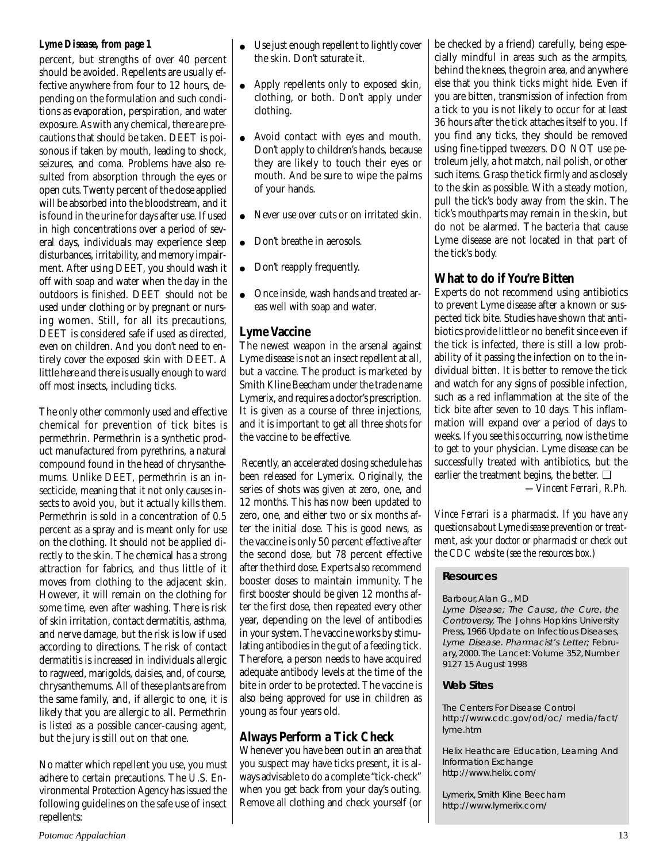## *Lyme Disease, from page 1*

percent, but strengths of over 40 percent should be avoided. Repellents are usually effective anywhere from four to 12 hours, depending on the formulation and such conditions as evaporation, perspiration, and water exposure. As with any chemical, there are precautions that should be taken. DEET is poisonous if taken by mouth, leading to shock, seizures, and coma. Problems have also resulted from absorption through the eyes or open cuts. Twenty percent of the dose applied will be absorbed into the bloodstream, and it is found in the urine for days after use. If used in high concentrations over a period of several days, individuals may experience sleep disturbances, irritability, and memory impairment. After using DEET, you should wash it off with soap and water when the day in the outdoors is finished. DEET should not be used under clothing or by pregnant or nursing women. Still, for all its precautions, DEET is considered safe if used as directed, even on children. And you don't need to entirely cover the exposed skin with DEET. A little here and there is usually enough to ward off most insects, including ticks.

The only other commonly used and effective chemical for prevention of tick bites is permethrin. Permethrin is a synthetic product manufactured from pyrethrins, a natural compound found in the head of chrysanthemums. Unlike DEET, permethrin is an insecticide, meaning that it not only causes insects to avoid you, but it actually kills them. Permethrin is sold in a concentration of 0.5 percent as a spray and is meant only for use on the clothing. It should not be applied directly to the skin. The chemical has a strong attraction for fabrics, and thus little of it moves from clothing to the adjacent skin. However, it will remain on the clothing for some time, even after washing. There is risk of skin irritation, contact dermatitis, asthma, and nerve damage, but the risk is low if used according to directions. The risk of contact dermatitis is increased in individuals allergic to ragweed, marigolds, daisies, and, of course, chrysanthemums. All of these plants are from the same family, and, if allergic to one, it is likely that you are allergic to all. Permethrin is listed as a possible cancer-causing agent, but the jury is still out on that one.

No matter which repellent you use, you must adhere to certain precautions. The U.S. Environmental Protection Agency has issued the following guidelines on the safe use of insect repellents:

- Use just enough repellent to lightly cover the skin. Don't saturate it.
- Apply repellents only to exposed skin, clothing, or both. Don't apply under clothing.
- Avoid contact with eyes and mouth. Don't apply to children's hands, because they are likely to touch their eyes or mouth. And be sure to wipe the palms of your hands.
- Never use over cuts or on irritated skin.
- Don't breathe in aerosols.
- Don't reapply frequently.
- Once inside, wash hands and treated areas well with soap and water.

## **Lyme Vaccine**

The newest weapon in the arsenal against Lyme disease is not an insect repellent at all, but a vaccine. The product is marketed by Smith Kline Beecham under the trade name Lymerix, and requires a doctor's prescription. It is given as a course of three injections, and it is important to get all three shots for the vaccine to be effective.

 Recently, an accelerated dosing schedule has been released for Lymerix. Originally, the series of shots was given at zero, one, and 12 months. This has now been updated to zero, one, and either two or six months after the initial dose. This is good news, as the vaccine is only 50 percent effective after the second dose, but 78 percent effective after the third dose. Experts also recommend booster doses to maintain immunity. The first booster should be given 12 months after the first dose, then repeated every other year, depending on the level of antibodies in your system. The vaccine works by stimulating antibodies in the gut of a feeding tick. Therefore, a person needs to have acquired adequate antibody levels at the time of the bite in order to be protected. The vaccine is also being approved for use in children as young as four years old.

## **Always Perform a Tick Check**

Whenever you have been out in an area that you suspect may have ticks present, it is always advisable to do a complete "tick-check" when you get back from your day's outing. Remove all clothing and check yourself (or

be checked by a friend) carefully, being especially mindful in areas such as the armpits, behind the knees, the groin area, and anywhere else that you think ticks might hide. Even if you are bitten, transmission of infection from a tick to you is not likely to occur for at least 36 hours after the tick attaches itself to you. If you find any ticks, they should be removed using fine-tipped tweezers. DO NOT use petroleum jelly, a hot match, nail polish, or other such items. Grasp the tick firmly and as closely to the skin as possible. With a steady motion, pull the tick's body away from the skin. The tick's mouthparts may remain in the skin, but do not be alarmed. The bacteria that cause Lyme disease are not located in that part of the tick's body.

## **What to do if You're Bitten**

Experts do not recommend using antibiotics to prevent Lyme disease after a known or suspected tick bite. Studies have shown that antibiotics provide little or no benefit since even if the tick is infected, there is still a low probability of it passing the infection on to the individual bitten. It is better to remove the tick and watch for any signs of possible infection, such as a red inflammation at the site of the tick bite after seven to 10 days. This inflammation will expand over a period of days to weeks. If you see this occurring, now is the time to get to your physician. Lyme disease can be successfully treated with antibiotics, but the earlier the treatment begins, the better. ❑

*—Vincent Ferrari, R.Ph.*

*Vince Ferrari is a pharmacist. If you have any questions about Lyme disease prevention or treatment, ask your doctor or pharmacist or check out the CDC website (see the resources box.)*

### **Resources**

Barbour, Alan G., MD

Lyme Disease; The Cause, the Cure, the Controversy, The Johns Hopkins University Press, 1966 Update on Infectious Diseases, Lyme Disease. Pharmacist's Letter; February, 2000. The Lancet: Volume 352, Number 9127 15 August 1998

## **Web Sites**

The Centers For Disease Control http://www.cdc.gov/od/oc/ media/fact/ lyme.htm

Helix Heathcare Education, Learning And Information Exchange http://www.helix. com/

Lymerix, Smith Kline Beecham http://www.lymerix.com/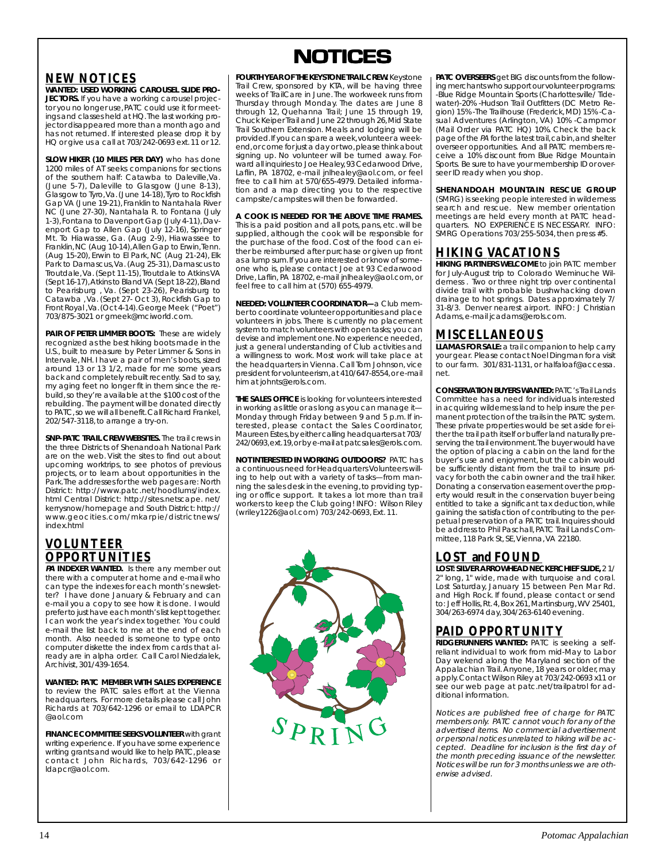## **NEW NOTICES**

**WANTED: USED WORKING CAROUSEL SLIDE PRO-JECTORS.** If you have a working carousel projector you no longer use, PATC could use it for meetings and classes held at HQ. The last working projector disappeared more than a month ago and has not returned. If interested please drop it by HQ or give us a call at 703/242-0693 ext. 11 or 12.

**SLOW HIKER (10 MILES PER DAY)** who has done 1200 miles of AT seeks companions for sections of the southern half: Catawba to Daleville,Va. (June 5-7), Daleville to Glasgow (June 8-13), Glasgow to Tyro, Va. (June 14-18), Tyro to Rockfish Gap VA (June 19-21), Franklin to Nantahala River NC (June 27-30), Nantahala R. to Fontana (July 1-3), Fontana to Davenport Gap (July 4-11), Davenport Gap to Allen Gap (July 12-16), Springer Mt. To Hiawasse, Ga. (Aug 2-9), Hiawassee to Franklin, NC (Aug 10-14), Allen Gap to Erwin, Tenn. (Aug 15-20), Erwin to El Park, NC (Aug 21-24), Elk Park to Damascus, Va. (Aug 25-31), Damascus to Troutdale, Va. (Sept 11-15), Troutdale to Atkins VA (Sept 16-17), Atkins to Bland VA (Sept 18-22), Bland to Pearisburg , Va. (Sept 23-26), Pearisburg to Catawba , Va. (Sept 27- Oct 3), Rockfish Gap to Front Royal , Va. (Oct 4-14). George Meek ("Poet") 703/875-3021 or gmeek@mciworld.com.

**PAIR OF PETER LIMMER BOOTS:** These are widely recognized as the best hiking boots made in the U.S., built to measure by Peter Limmer & Sons in Intervale, NH. I have a pair of men's boots, sized around 13 or 13 1/2, made for me some years back and completely rebuilt recently. Sad to say, my aging feet no longer fit in them since the rebuild, so they're available at the \$100 cost of the rebuilding. The payment will be donated directly to PATC, so we will all benefit. Call Richard Frankel, 202/547-3118, to arrange a try-on.

**SNP-PATC TRAIL CREW WEBSITES.** The trail crews in the three Districts of Shenandoah National Park are on the web. Visit the sites to find out about upcoming worktrips, to see photos of previous projects, or to learn about opportunities in the Park. The addresses for the web pages are: North District: http://www.patc.net/hoodlums/index. html Central District: http://sites.netscape. net/ kerrysnow/homepage and South District: http:// www.geocities.com/mkarpie/districtnews/ index.html

## **VOLUNTEER OPPORTUNITIES**

**PA INDEXER WANTED.** Is there any member out there with a computer at home and e-mail who can type the indexes for each month's newsletter? I have done January & February and can e-mail you a copy to see how it is done. I would prefer to just have each month's list kept together. I can work the year's index together. You could e-mail the list back to me at the end of each month. Also needed is someone to type onto computer diskette the index from cards that already are in alpha order. Call Carol Niedzialek, Archivist, 301/439-1654.

**WANTED: PATC MEMBER WITH SALES EXPERIENCE** to review the PATC sales effort at the Vienna headquarters. For more details please call John Richards at 703/642-1296 or email to LDAPCR @aol.com

**FINANCE COMMITTEE SEEKS VOLUNTEER** with grant writing experience. If you have some experience writing grants and would like to help PATC, please contact John Richards, 703/642-1296 or ldapcr@aol.com.



**FOURTH YEAR OF THE KEYSTONE TRAIL CREW.** Keystone Trail Crew, sponsored by KTA, will be having three weeks of TrailCare in June. The workweek runs from Thursday through Monday. The dates are June 8 through 12, Quehanna Trail; June 15 through 19, Chuck Keiper Trail and June 22 through 26, Mid State Trail Southern Extension. Meals and lodging will be provided. If you can spare a week, volunteer a weekend, or come for just a day or two, please think about signing up. No volunteer will be turned away. Forward all inquiries to Joe Healey, 93 Cedarwood Drive, Laflin, PA 18702, e-mail jnlhealey@aol.com, or feel free to call him at 570/655-4979. Detailed information and a map directing you to the respective campsite/campsites will then be forwarded.

**A COOK IS NEEDED FOR THE ABOVE TIME FRAMES.** This is a paid position and all pots, pans, etc. will be supplied, although the cook will be responsible for the purchase of the food. Cost of the food can either be reimbursed after purchase or given up front as a lump sum. If you are interested or know of someone who is, please contact Joe at 93 Cedarwood Drive, Laflin, PA 18702, e-mail jnlhealey@aol.com, or feel free to call him at (570) 655-4979.

**NEEDED: VOLUNTEER COORDINATOR—**a Club member to coordinate volunteer opportunities and place volunteers in jobs. There is currently no placement system to match volunteers with open tasks; you can devise and implement one. No experience needed, just a general understanding of Club activities and a willingness to work. Most work will take place at the headquarters in Vienna. Call Tom Johnson, vice president for volunteerism, at 410/647-8554, or e-mail him at johnts@erols.com.

**THE SALES OFFICE** is looking for volunteers interested in working as little or as long as you can manage it— Monday through Friday between 9 and 5 p.m. If interested, please contact the Sales Coordinator, Maureen Estes, by either calling headquarters at 703/ 242/0693, ext. 19, or by e-mail at patcsales@erols. com.

**NOT INTERESTED IN WORKING OUTDOORS?** PATC has a continuous need for Headquarters Volunteers willing to help out with a variety of tasks—from manning the sales desk in the evening, to providing typing or office support. It takes a lot more than trail workers to keep the Club going! INFO: Wilson Riley (wriley1226@aol.com) 703/242-0693, Ext. 11.



**PATC OVERSEERS** get BIG discounts from the following merchants who support our volunteer programs: -Blue Ridge Mountain Sports (Charlottesville/ Tidewater)-20% -Hudson Trail Outfitters (DC Metro Region) 15% -The Trailhouse (Frederick, MD) 15% -Casual Adventures (Arlington, VA) 10% -Campmor (Mail Order via PATC HQ) 10%. Check the back page of the PA for the latest trail, cabin, and shelter overseer opportunities. And all PATC members receive a 10% discount from Blue Ridge Mountain Sports. Be sure to have your membership ID or overseer ID ready when you shop.

**SHENANDOAH MOUNTAIN RESCUE GROUP** (SMRG) is seeking people interested in wilderness search and rescue. New member orientation meetings are held every month at PATC headquarters. NO EXPERIENCE IS NECESSARY. INFO: SMRG Operations 703/255-5034, then press #5.

### **HIKING VACATIONS**

**HIKING PARTNERS WELCOME** to join PATC member for July-August trip to Colorado Weminuche Wilderness . Two or three night trip over continental divide trail with probable bushwhacking down drainage to hot springs. Dates approximately 7/ 31-8/3. Denver nearest airport. INFO: J Christian Adams, e-mail jcadams@erols.com.

## **MISCELLANEOUS**

**LLAMAS FOR SALE:** a trail companion to help carry your gear. Please contact Noel Dingman for a visit to our farm. 301/831-1131, or halfaloaf@accessa. net.

**CONSERVATION BUYERS WANTED:** PATC's Trail Lands Committee has a need for individuals interested in acquiring wilderness land to help insure the permanent protection of the trails in the PATC system. These private properties would be set aside for either the trail path itself or buffer land naturally preserving the trail environment. The buyer would have the option of placing a cabin on the land for the buyer's use and enjoyment, but the cabin would be sufficiently distant from the trail to insure privacy for both the cabin owner and the trail hiker. Donating a conservation easement over the property would result in the conservation buyer being entitled to take a significant tax deduction, while gaining the satisfaction of contributing to the perpetual preservation of a PATC trail. Inquires should be address to Phil Paschall, PATC Trail Lands Committee, 118 Park St, SE, Vienna, VA 22180.

## **LOST and FOUND**

**LOST: SILVER ARROWHEAD NECKERCHIEF SLIDE,** 2 1/ 2" long, 1" wide, made with turquoise and coral. Lost Saturday, January 15 between Pen Mar Rd. and High Rock. If found, please contact or send to: Jeff Hollis, Rt. 4, Box 261, Martinsburg, WV 25401, 304/263-6974 day, 304/263-6140 evening.

# **PAID OPPORTUNITY**

**RIDGERUNNERS WANTED:** PATC is seeking a selfreliant individual to work from mid-May to Labor Day wekend along the Maryland section of the Appalachian Trail. Anyone, 18 years or older, may apply. Contact Wilson Riley at 703/242-0693 x11 or see our web page at patc.net/trailpatrol for additional information.

Notices are published free of charge for PATC members only. PATC cannot vouch for any of the advertised items. No commercial advertisement or personal notices unrelated to hiking will be accepted. Deadline for inclusion is the first day of the month preceding issuance of the newsletter. Notices will be run for 3 months unless we are otherwise advised.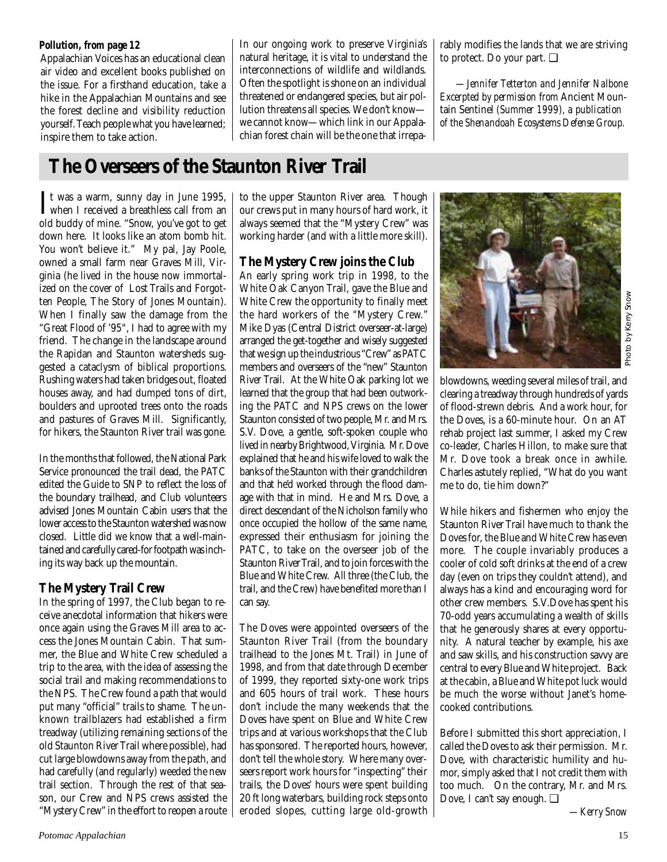### *Pollution, from page 12*

Appalachian Voices has an educational clean air video and excellent books published on the issue. For a firsthand education, take a hike in the Appalachian Mountains and see the forest decline and visibility reduction yourself. Teach people what you have learned; inspire them to take action.

In our ongoing work to preserve Virginia's natural heritage, it is vital to understand the interconnections of wildlife and wildlands. Often the spotlight is shone on an individual threatened or endangered species, but air pollution threatens all species. We don't know we cannot know—which link in our Appalachian forest chain will be the one that irreparably modifies the lands that we are striving to protect. Do your part. ❑

*—Jennifer Tetterton and Jennifer Nalbone Excerpted by permission from* Ancient Mountain Sentinel *(Summer 1999), a publication of the Shenandoah Ecosystems Defense Group.*

# **The Overseers of the Staunton River Trail**

It was a warm, sunny day in June 1995,<br>when I received a breathless call from an when I received a breathless call from an old buddy of mine. "Snow, you've got to get down here. It looks like an atom bomb hit. You won't believe it." My pal, Jay Poole, owned a small farm near Graves Mill, Virginia (he lived in the house now immortalized on the cover of Lost Trails and Forgotten People, The Story of Jones Mountain). When I finally saw the damage from the "Great Flood of '95", I had to agree with my friend. The change in the landscape around the Rapidan and Staunton watersheds suggested a cataclysm of biblical proportions. Rushing waters had taken bridges out, floated houses away, and had dumped tons of dirt, boulders and uprooted trees onto the roads and pastures of Graves Mill. Significantly, for hikers, the Staunton River trail was gone.

In the months that followed, the National Park Service pronounced the trail dead, the PATC edited the Guide to SNP to reflect the loss of the boundary trailhead, and Club volunteers advised Jones Mountain Cabin users that the lower access to the Staunton watershed was now closed. Little did we know that a well-maintained and carefully cared-for footpath was inching its way back up the mountain.

## **The Mystery Trail Crew**

In the spring of 1997, the Club began to receive anecdotal information that hikers were once again using the Graves Mill area to access the Jones Mountain Cabin. That summer, the Blue and White Crew scheduled a trip to the area, with the idea of assessing the social trail and making recommendations to the NPS. The Crew found a path that would put many "official" trails to shame. The unknown trailblazers had established a firm treadway (utilizing remaining sections of the old Staunton River Trail where possible), had cut large blowdowns away from the path, and had carefully (and regularly) weeded the new trail section. Through the rest of that season, our Crew and NPS crews assisted the "Mystery Crew" in the effort to reopen a route to the upper Staunton River area. Though our crews put in many hours of hard work, it always seemed that the "Mystery Crew" was working harder (and with a little more skill).

## **The Mystery Crew joins the Club**

An early spring work trip in 1998, to the White Oak Canyon Trail, gave the Blue and White Crew the opportunity to finally meet the hard workers of the "Mystery Crew." Mike Dyas (Central District overseer-at-large) arranged the get-together and wisely suggested that we sign up the industrious "Crew" as PATC members and overseers of the "new" Staunton River Trail. At the White Oak parking lot we learned that the group that had been outworking the PATC and NPS crews on the lower Staunton consisted of two people, Mr. and Mrs. S.V. Dove, a gentle, soft-spoken couple who lived in nearby Brightwood, Virginia. Mr. Dove explained that he and his wife loved to walk the banks of the Staunton with their grandchildren and that he'd worked through the flood damage with that in mind. He and Mrs. Dove, a direct descendant of the Nicholson family who once occupied the hollow of the same name, expressed their enthusiasm for joining the PATC, to take on the overseer job of the Staunton River Trail, and to join forces with the Blue and White Crew. All three (the Club, the trail, and the Crew) have benefited more than I can say.

The Doves were appointed overseers of the Staunton River Trail (from the boundary trailhead to the Jones Mt. Trail) in June of 1998, and from that date through December of 1999, they reported sixty-one work trips and 605 hours of trail work. These hours don't include the many weekends that the Doves have spent on Blue and White Crew trips and at various workshops that the Club has sponsored. The reported hours, however, don't tell the whole story. Where many overseers report work hours for "inspecting" their trails, the Doves' hours were spent building 20 ft long waterbars, building rock steps onto eroded slopes, cutting large old-growth



blowdowns, weeding several miles of trail, and clearing a treadway through hundreds of yards of flood-strewn debris. And a work hour, for the Doves, is a 60-minute hour. On an AT rehab project last summer, I asked my Crew co-leader, Charles Hillon, to make sure that Mr. Dove took a break once in awhile. Charles astutely replied, "What do you want me to do, tie him down?"

While hikers and fishermen who enjoy the Staunton River Trail have much to thank the Doves for, the Blue and White Crew has even more. The couple invariably produces a cooler of cold soft drinks at the end of a crew day (even on trips they couldn't attend), and always has a kind and encouraging word for other crew members. S.V.Dove has spent his 70-odd years accumulating a wealth of skills that he generously shares at every opportunity. A natural teacher by example, his axe and saw skills, and his construction savvy are central to every Blue and White project. Back at the cabin, a Blue and White pot luck would be much the worse without Janet's homecooked contributions. **Example 12**<br> **Example 12**<br> **Example 12**<br> **Example 12**<br> **Les of trail, and**<br>
adreds of yards<br>
work hour, for<br>
ur. On an AT<br>
in awhile.<br>
t do you want<br>
t do you want<br>
t do you want<br>
t do you want<br>
t do you want<br>
t do you wa

Before I submitted this short appreciation, I called the Doves to ask their permission. Mr. Dove, with characteristic humility and humor, simply asked that I not credit them with too much. On the contrary, Mr. and Mrs. Dove, I can't say enough. ❑

-Kerry Snow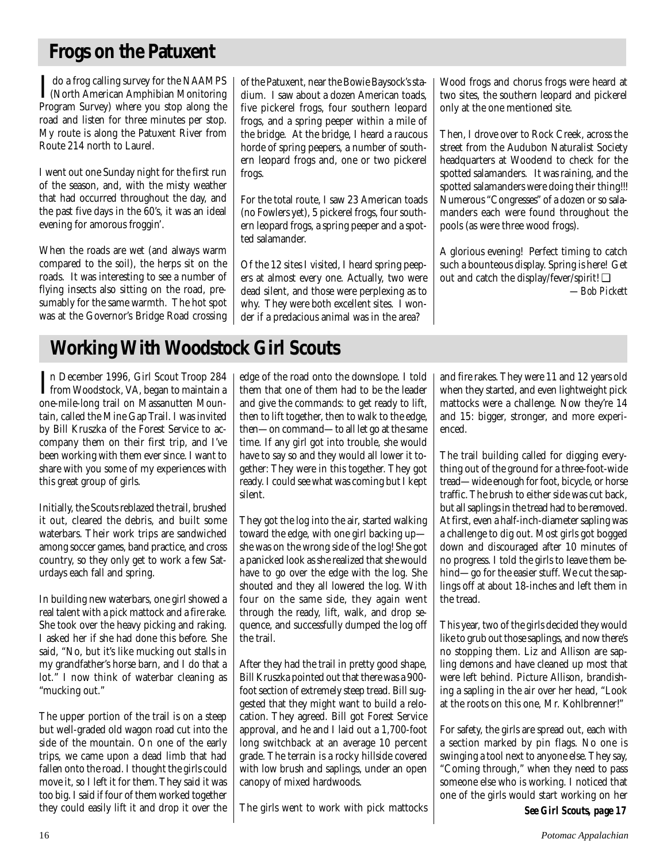# **Frogs on the Patuxent**

I do a frog calling survey for the NAAMPS<br>(North American Amphibian Monitoring)<br>Pragmen Survey) where you atop along the (North American Amphibian Monitoring Program Survey) where you stop along the road and listen for three minutes per stop. My route is along the Patuxent River from Route 214 north to Laurel.

I went out one Sunday night for the first run of the season, and, with the misty weather that had occurred throughout the day, and the past five days in the 60's, it was an ideal evening for amorous froggin'.

When the roads are wet (and always warm compared to the soil), the herps sit on the roads. It was interesting to see a number of flying insects also sitting on the road, presumably for the same warmth. The hot spot was at the Governor's Bridge Road crossing of the Patuxent, near the Bowie Baysock's stadium. I saw about a dozen American toads, five pickerel frogs, four southern leopard frogs, and a spring peeper within a mile of the bridge. At the bridge, I heard a raucous horde of spring peepers, a number of southern leopard frogs and, one or two pickerel frogs.

For the total route, I saw 23 American toads (no Fowlers yet), 5 pickerel frogs, four southern leopard frogs, a spring peeper and a spotted salamander.

Of the 12 sites I visited, I heard spring peepers at almost every one. Actually, two were dead silent, and those were perplexing as to why. They were both excellent sites. I wonder if a predacious animal was in the area?

Wood frogs and chorus frogs were heard at two sites, the southern leopard and pickerel only at the one mentioned site.

Then, I drove over to Rock Creek, across the street from the Audubon Naturalist Society headquarters at Woodend to check for the spotted salamanders. It was raining, and the spotted salamanders were doing their thing!!! Numerous "Congresses" of a dozen or so salamanders each were found throughout the pools (as were three wood frogs).

A glorious evening! Perfect timing to catch such a bounteous display. Spring is here! Get out and catch the display/fever/spirit! ❑ *—Bob Pickett*

# **Working With Woodstock Girl Scouts**

In December 1996, Girl Scout Troop 284<br>
from Woodstock, VA, began to maintain a<br>
ana mila lang trail an Massauuttan Maun from Woodstock, VA, began to maintain a one-mile-long trail on Massanutten Mountain, called the Mine Gap Trail. I was invited by Bill Kruszka of the Forest Service to accompany them on their first trip, and I've been working with them ever since. I want to share with you some of my experiences with this great group of girls.

Initially, the Scouts reblazed the trail, brushed it out, cleared the debris, and built some waterbars. Their work trips are sandwiched among soccer games, band practice, and cross country, so they only get to work a few Saturdays each fall and spring.

In building new waterbars, one girl showed a real talent with a pick mattock and a fire rake. She took over the heavy picking and raking. I asked her if she had done this before. She said, "No, but it's like mucking out stalls in my grandfather's horse barn, and I do that a lot." I now think of waterbar cleaning as "mucking out."

The upper portion of the trail is on a steep but well-graded old wagon road cut into the side of the mountain. On one of the early trips, we came upon a dead limb that had fallen onto the road. I thought the girls could move it, so I left it for them. They said it was too big. I said if four of them worked together they could easily lift it and drop it over the

edge of the road onto the downslope. I told them that one of them had to be the leader and give the commands: to get ready to lift, then to lift together, then to walk to the edge, then—on command—to all let go at the same time. If any girl got into trouble, she would have to say so and they would all lower it together: They were in this together. They got ready. I could see what was coming but I kept silent.

They got the log into the air, started walking toward the edge, with one girl backing up she was on the wrong side of the log! She got a panicked look as she realized that she would have to go over the edge with the log. She shouted and they all lowered the log. With four on the same side, they again went through the ready, lift, walk, and drop sequence, and successfully dumped the log off the trail.

After they had the trail in pretty good shape, Bill Kruszka pointed out that there was a 900 foot section of extremely steep tread. Bill suggested that they might want to build a relocation. They agreed. Bill got Forest Service approval, and he and I laid out a 1,700-foot long switchback at an average 10 percent grade. The terrain is a rocky hillside covered with low brush and saplings, under an open canopy of mixed hardwoods.

The girls went to work with pick mattocks

and fire rakes. They were 11 and 12 years old when they started, and even lightweight pick mattocks were a challenge. Now they're 14 and 15: bigger, stronger, and more experienced.

The trail building called for digging everything out of the ground for a three-foot-wide tread—wide enough for foot, bicycle, or horse traffic. The brush to either side was cut back, but all saplings in the tread had to be removed. At first, even a half-inch-diameter sapling was a challenge to dig out. Most girls got bogged down and discouraged after 10 minutes of no progress. I told the girls to leave them behind—go for the easier stuff. We cut the saplings off at about 18-inches and left them in the tread.

This year, two of the girls decided they would like to grub out those saplings, and now there's no stopping them. Liz and Allison are sapling demons and have cleaned up most that were left behind. Picture Allison, brandishing a sapling in the air over her head, "Look at the roots on this one, Mr. Kohlbrenner!"

For safety, the girls are spread out, each with a section marked by pin flags. No one is swinging a tool next to anyone else. They say, "Coming through," when they need to pass someone else who is working. I noticed that one of the girls would start working on her

*See Girl Scouts, page 17*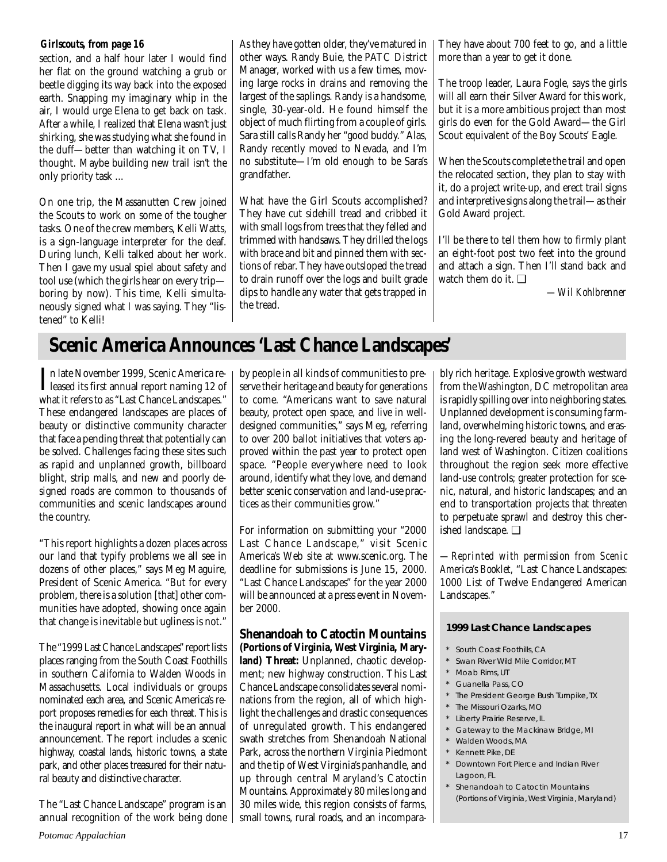section, and a half hour later I would find her flat on the ground watching a grub or beetle digging its way back into the exposed earth. Snapping my imaginary whip in the air, I would urge Elena to get back on task. After a while, I realized that Elena wasn't just shirking, she was studying what she found in the duff—better than watching it on TV, I thought. Maybe building new trail isn't the only priority task ...

On one trip, the Massanutten Crew joined the Scouts to work on some of the tougher tasks. One of the crew members, Kelli Watts, is a sign-language interpreter for the deaf. During lunch, Kelli talked about her work. Then I gave my usual spiel about safety and tool use (which the girls hear on every trip boring by now). This time, Kelli simultaneously signed what I was saying. They "listened" to Kelli!

*Girlscouts, from page 16* As they have gotten older, they've matured in other ways. Randy Buie, the PATC District Manager, worked with us a few times, moving large rocks in drains and removing the largest of the saplings. Randy is a handsome, single, 30-year-old. He found himself the object of much flirting from a couple of girls. Sara still calls Randy her "good buddy." Alas, Randy recently moved to Nevada, and I'm no substitute—I'm old enough to be Sara's grandfather.

> What have the Girl Scouts accomplished? They have cut sidehill tread and cribbed it with small logs from trees that they felled and trimmed with handsaws. They drilled the logs with brace and bit and pinned them with sections of rebar. They have outsloped the tread to drain runoff over the logs and built grade dips to handle any water that gets trapped in the tread.

They have about 700 feet to go, and a little more than a year to get it done.

The troop leader, Laura Fogle, says the girls will all earn their Silver Award for this work, but it is a more ambitious project than most girls do even for the Gold Award—the Girl Scout equivalent of the Boy Scouts' Eagle.

When the Scouts complete the trail and open the relocated section, they plan to stay with it, do a project write-up, and erect trail signs and interpretive signs along the trail—as their Gold Award project.

I'll be there to tell them how to firmly plant an eight-foot post two feet into the ground and attach a sign. Then I'll stand back and watch them do it. ❑

*—Wil Kohlbrenner*

# **Scenic America Announces 'Last Chance Landscapes'**

In late November 1999, Scenic America re-<br>leased its first annual report naming 12 of leased its first annual report naming 12 of what it refers to as "Last Chance Landscapes." These endangered landscapes are places of beauty or distinctive community character that face a pending threat that potentially can be solved. Challenges facing these sites such as rapid and unplanned growth, billboard blight, strip malls, and new and poorly designed roads are common to thousands of communities and scenic landscapes around the country.

"This report highlights a dozen places across our land that typify problems we all see in dozens of other places," says Meg Maguire, President of Scenic America. "But for every problem, there is a solution [that] other communities have adopted, showing once again that change is inevitable but ugliness is not."

The "1999 Last Chance Landscapes" report lists places ranging from the South Coast Foothills in southern California to Walden Woods in Massachusetts. Local individuals or groups nominated each area, and Scenic America's report proposes remedies for each threat. This is the inaugural report in what will be an annual announcement. The report includes a scenic highway, coastal lands, historic towns, a state park, and other places treasured for their natural beauty and distinctive character.

The "Last Chance Landscape" program is an annual recognition of the work being done

by people in all kinds of communities to preserve their heritage and beauty for generations to come. "Americans want to save natural beauty, protect open space, and live in welldesigned communities," says Meg, referring to over 200 ballot initiatives that voters approved within the past year to protect open space. "People everywhere need to look around, identify what they love, and demand better scenic conservation and land-use practices as their communities grow."

For information on submitting your "2000 Last Chance Landscape," visit Scenic America's Web site at www.scenic.org. The deadline for submissions is June 15, 2000. "Last Chance Landscapes" for the year 2000 will be announced at a press event in November 2000.

**Shenandoah to Catoctin Mountains (Portions of Virginia, West Virginia, Maryland) Threat:** Unplanned, chaotic development; new highway construction. This Last Chance Landscape consolidates several nominations from the region, all of which highlight the challenges and drastic consequences of unregulated growth. This endangered swath stretches from Shenandoah National Park, across the northern Virginia Piedmont and the tip of West Virginia's panhandle, and up through central Maryland's Catoctin Mountains. Approximately 80 miles long and 30 miles wide, this region consists of farms, small towns, rural roads, and an incomparably rich heritage. Explosive growth westward from the Washington, DC metropolitan area is rapidly spilling over into neighboring states. Unplanned development is consuming farmland, overwhelming historic towns, and erasing the long-revered beauty and heritage of land west of Washington. Citizen coalitions throughout the region seek more effective land-use controls; greater protection for scenic, natural, and historic landscapes; and an end to transportation projects that threaten to perpetuate sprawl and destroy this cherished landscape. ❑

*—Reprinted with permission from Scenic America's Booklet,* "Last Chance Landscapes: 1000 List of Twelve Endangered American Landscapes."

### **1999 Last Chance Landscapes**

- \* South Coast Foothills, CA
- Swan River Wild Mile Corridor, MT
- \* Moab Rims, UT
- \* Guanella Pass, CO
- \* The President George Bush Turnpike, TX
- \* The Missouri Ozarks, MO
- \* Liberty Prairie Reserve, IL
- Gateway to the Mackinaw Bridge, MI
- \* Walden Woods, MA
- \* Kennett Pike, DE
- \* Downtown Fort Pierce and Indian River Lagoon, FL
- \* Shenandoah to Catoctin Mountains (Portions of Virginia, West Virginia, Maryland)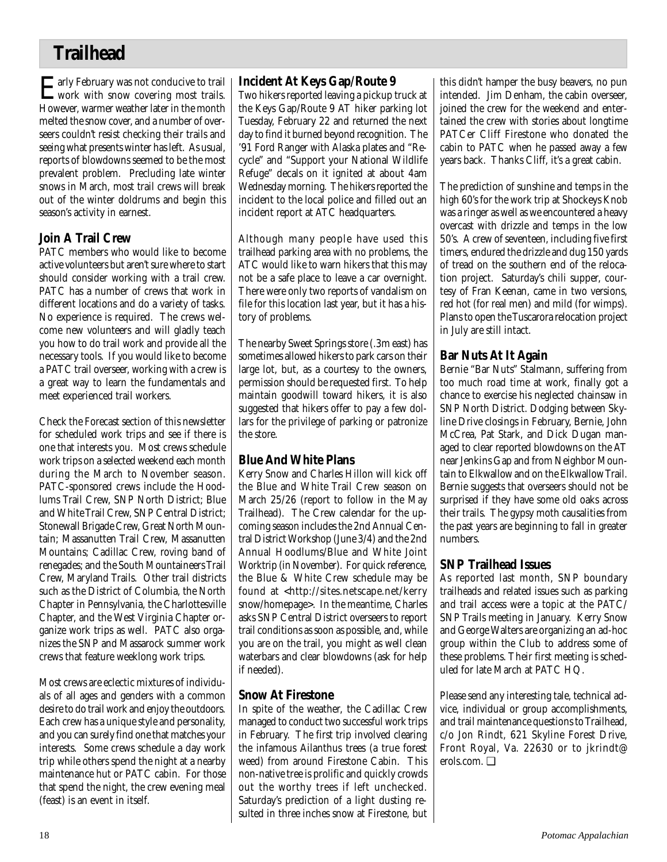# **Trailhead**

Early February was not conducive to trail<br>Work with snow covering most trails. However, warmer weather later in the month melted the snow cover, and a number of overseers couldn't resist checking their trails and seeing what presents winter has left. As usual, reports of blowdowns seemed to be the most prevalent problem. Precluding late winter snows in March, most trail crews will break out of the winter doldrums and begin this season's activity in earnest.

## **Join A Trail Crew**

PATC members who would like to become active volunteers but aren't sure where to start should consider working with a trail crew. PATC has a number of crews that work in different locations and do a variety of tasks. No experience is required. The crews welcome new volunteers and will gladly teach you how to do trail work and provide all the necessary tools. If you would like to become a PATC trail overseer, working with a crew is a great way to learn the fundamentals and meet experienced trail workers.

Check the Forecast section of this newsletter for scheduled work trips and see if there is one that interests you. Most crews schedule work trips on a selected weekend each month during the March to November season. PATC-sponsored crews include the Hoodlums Trail Crew, SNP North District; Blue and White Trail Crew, SNP Central District; Stonewall Brigade Crew, Great North Mountain; Massanutten Trail Crew, Massanutten Mountains; Cadillac Crew, roving band of renegades; and the South Mountaineers Trail Crew, Maryland Trails. Other trail districts such as the District of Columbia, the North Chapter in Pennsylvania, the Charlottesville Chapter, and the West Virginia Chapter organize work trips as well. PATC also organizes the SNP and Massarock summer work crews that feature weeklong work trips.

Most crews are eclectic mixtures of individuals of all ages and genders with a common desire to do trail work and enjoy the outdoors. Each crew has a unique style and personality, and you can surely find one that matches your interests. Some crews schedule a day work trip while others spend the night at a nearby maintenance hut or PATC cabin. For those that spend the night, the crew evening meal (feast) is an event in itself.

## **Incident At Keys Gap/Route 9**

Two hikers reported leaving a pickup truck at the Keys Gap/Route 9 AT hiker parking lot Tuesday, February 22 and returned the next day to find it burned beyond recognition. The '91 Ford Ranger with Alaska plates and "Recycle" and "Support your National Wildlife Refuge" decals on it ignited at about 4am Wednesday morning. The hikers reported the incident to the local police and filled out an incident report at ATC headquarters.

Although many people have used this trailhead parking area with no problems, the ATC would like to warn hikers that this may not be a safe place to leave a car overnight. There were only two reports of vandalism on file for this location last year, but it has a history of problems.

The nearby Sweet Springs store (.3m east) has sometimes allowed hikers to park cars on their large lot, but, as a courtesy to the owners, permission should be requested first. To help maintain goodwill toward hikers, it is also suggested that hikers offer to pay a few dollars for the privilege of parking or patronize the store.

# **Blue And White Plans**

Kerry Snow and Charles Hillon will kick off the Blue and White Trail Crew season on March 25/26 (report to follow in the May Trailhead). The Crew calendar for the upcoming season includes the 2nd Annual Central District Workshop (June 3/4) and the 2nd Annual Hoodlums/Blue and White Joint Worktrip (in November). For quick reference, the Blue & White Crew schedule may be found at <http://sites.netscape.net/kerry snow/homepage>. In the meantime, Charles asks SNP Central District overseers to report trail conditions as soon as possible, and, while you are on the trail, you might as well clean waterbars and clear blowdowns (ask for help if needed).

## **Snow At Firestone**

In spite of the weather, the Cadillac Crew managed to conduct two successful work trips in February. The first trip involved clearing the infamous Ailanthus trees (a true forest weed) from around Firestone Cabin. This non-native tree is prolific and quickly crowds out the worthy trees if left unchecked. Saturday's prediction of a light dusting resulted in three inches snow at Firestone, but

this didn't hamper the busy beavers, no pun intended. Jim Denham, the cabin overseer, joined the crew for the weekend and entertained the crew with stories about longtime PATCer Cliff Firestone who donated the cabin to PATC when he passed away a few years back. Thanks Cliff, it's a great cabin.

The prediction of sunshine and temps in the high 60's for the work trip at Shockeys Knob was a ringer as well as we encountered a heavy overcast with drizzle and temps in the low 50's. A crew of seventeen, including five first timers, endured the drizzle and dug 150 yards of tread on the southern end of the relocation project. Saturday's chili supper, courtesy of Fran Keenan, came in two versions, red hot (for real men) and mild (for wimps). Plans to open the Tuscarora relocation project in July are still intact.

## **Bar Nuts At It Again**

Bernie "Bar Nuts" Stalmann, suffering from too much road time at work, finally got a chance to exercise his neglected chainsaw in SNP North District. Dodging between Skyline Drive closings in February, Bernie, John McCrea, Pat Stark, and Dick Dugan managed to clear reported blowdowns on the AT near Jenkins Gap and from Neighbor Mountain to Elkwallow and on the Elkwallow Trail. Bernie suggests that overseers should not be surprised if they have some old oaks across their trails. The gypsy moth causalities from the past years are beginning to fall in greater numbers.

## **SNP Trailhead Issues**

As reported last month, SNP boundary trailheads and related issues such as parking and trail access were a topic at the PATC/ SNP Trails meeting in January. Kerry Snow and George Walters are organizing an ad-hoc group within the Club to address some of these problems. Their first meeting is scheduled for late March at PATC HQ.

Please send any interesting tale, technical advice, individual or group accomplishments, and trail maintenance questions to Trailhead, c/o Jon Rindt, 621 Skyline Forest Drive, Front Royal, Va. 22630 or to jkrindt@ erols.com. ❑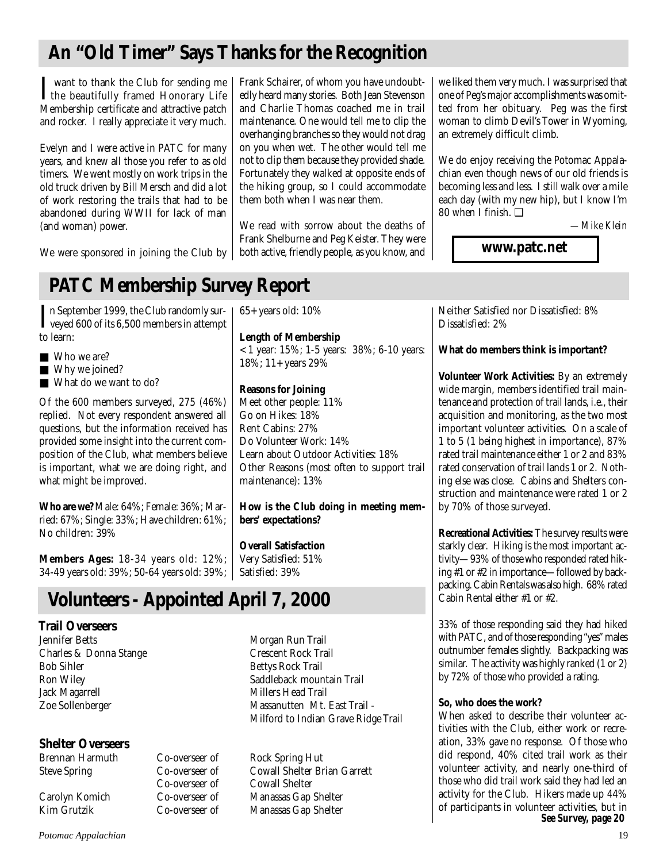# **An "Old Timer" Says Thanks for the Recognition**

I want to thank the Club for sending me<br>the beautifully framed Honorary Life<br>Mankinkin sertificate and ethnological want to thank the Club for sending me Membership certificate and attractive patch and rocker. I really appreciate it very much.

Evelyn and I were active in PATC for many years, and knew all those you refer to as old timers. We went mostly on work trips in the old truck driven by Bill Mersch and did a lot of work restoring the trails that had to be abandoned during WWII for lack of man (and woman) power.

Frank Schairer, of whom you have undoubtedly heard many stories. Both Jean Stevenson and Charlie Thomas coached me in trail maintenance. One would tell me to clip the overhanging branches so they would not drag on you when wet. The other would tell me not to clip them because they provided shade. Fortunately they walked at opposite ends of the hiking group, so I could accommodate them both when I was near them.

We read with sorrow about the deaths of Frank Shelburne and Peg Keister. They were both active, friendly people, as you know, and we liked them very much. I was surprised that one of Peg's major accomplishments was omitted from her obituary. Peg was the first woman to climb Devil's Tower in Wyoming, an extremely difficult climb.

We do enjoy receiving the Potomac Appalachian even though news of our old friends is becoming less and less. I still walk over a mile each day (with my new hip), but I know I'm 80 when I finish. ❑

 *—Mike Klein*

**www.patc.net**

We were sponsored in joining the Club by

# **PATC Membership Survey Report**

In September 1999, the Club randomly sur-<br>veyed 600 of its 6,500 members in attempt veyed 600 of its 6,500 members in attempt to learn:

- Who we are?
- Why we joined?
- What do we want to do?

Of the 600 members surveyed, 275 (46%) replied. Not every respondent answered all questions, but the information received has provided some insight into the current composition of the Club, what members believe is important, what we are doing right, and what might be improved.

**Who are we?** Male: 64%; Female: 36%; Married: 67%; Single: 33%; Have children: 61%; No children: 39%

**Members Ages:** 18-34 years old: 12%; 34-49 years old: 39%; 50-64 years old: 39%;

# **Volunteers - Appointed April 7, 2000**

# **Trail Overseers**

Charles & Donna Stange Crescent Rock Trail Bob Sihler Bettys Rock Trail Jack Magarrell Millers Head Trail

# **Shelter Overseers**

Co-overseer of

65+ years old: 10%

**Length of Membership** < 1 year: 15%; 1-5 years: 38%; 6-10 years: 18%; 11+ years 29%

## **Reasons for Joining**

Meet other people: 11% Go on Hikes: 18% Rent Cabins: 27% Do Volunteer Work: 14% Learn about Outdoor Activities: 18% Other Reasons (most often to support trail maintenance): 13%

**How is the Club doing in meeting members' expectations?**

**Overall Satisfaction** Very Satisfied: 51% Satisfied: 39%

Morgan Run Trail Ron Wiley Saddleback mountain Trail Zoe Sollenberger Massanutten Mt. East Trail -

Milford to Indian Grave Ridge Trail

Co-overseer of Rock Spring Hut Steve Spring Co-overseer of Cowall Shelter Brian Garrett Carolyn Komich Co-overseer of Manassas Gap Shelter Co-overseer of Manassas Gap Shelter

Neither Satisfied nor Dissatisfied: 8% Dissatisfied: 2%

**What do members think is important?**

**Volunteer Work Activities:** By an extremely wide margin, members identified trail maintenance and protection of trail lands, i.e., their acquisition and monitoring, as the two most important volunteer activities. On a scale of 1 to 5 (1 being highest in importance), 87% rated trail maintenance either 1 or 2 and 83% rated conservation of trail lands 1 or 2. Nothing else was close. Cabins and Shelters construction and maintenance were rated 1 or 2 by 70% of those surveyed.

**Recreational Activities:** The survey results were starkly clear. Hiking is the most important activity—93% of those who responded rated hiking #1 or #2 in importance—followed by backpacking. Cabin Rentals was also high. 68% rated Cabin Rental either #1 or #2.

33% of those responding said they had hiked with PATC, and of those responding "yes" males outnumber females slightly. Backpacking was similar. The activity was highly ranked (1 or 2) by 72% of those who provided a rating.

## **So, who does the work?**

When asked to describe their volunteer activities with the Club, either work or recreation, 33% gave no response. Of those who did respond, 40% cited trail work as their volunteer activity, and nearly one-third of those who did trail work said they had led an activity for the Club. Hikers made up 44% of participants in volunteer activities, but in *See Survey, page 20*